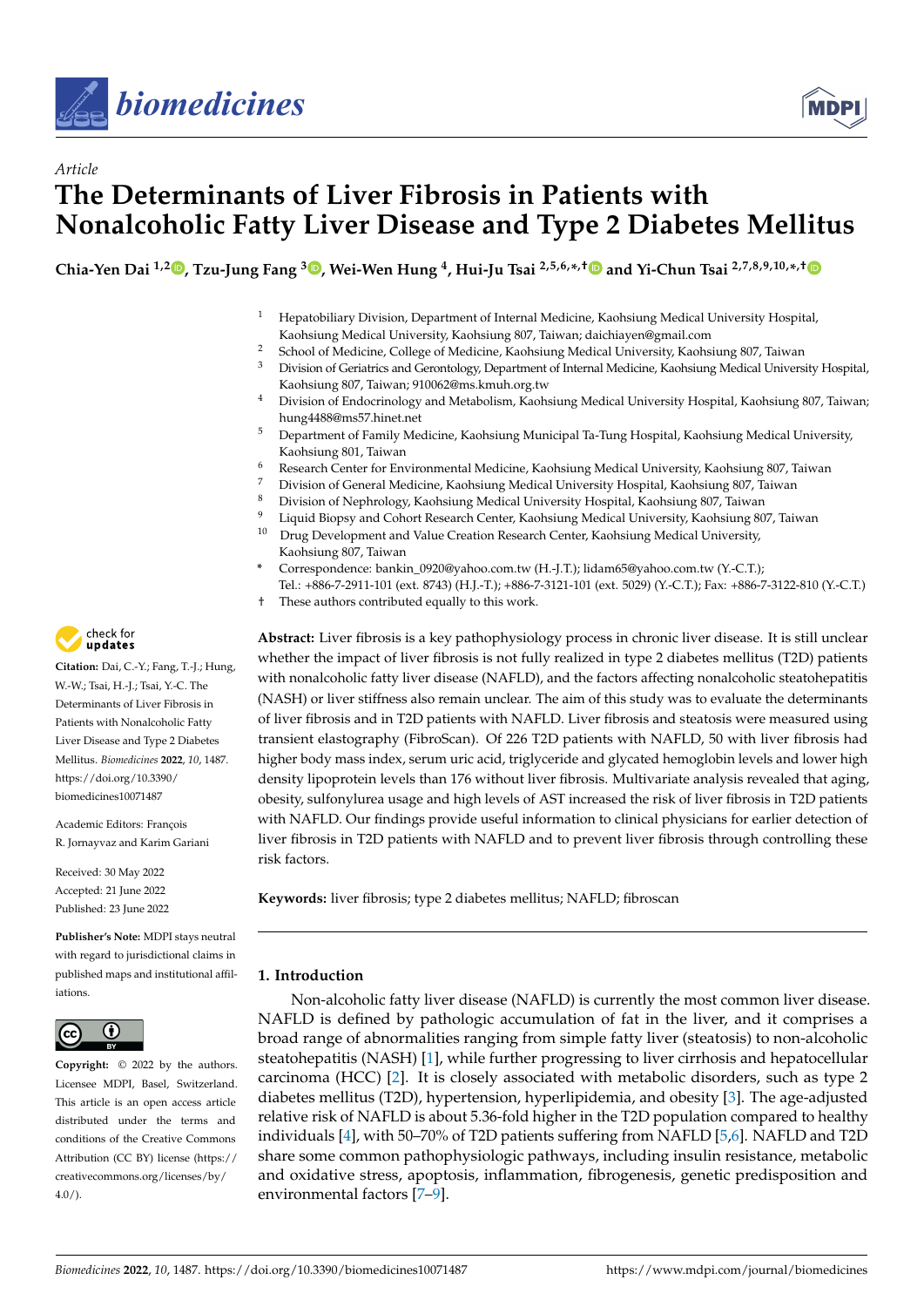



# *Article* **The Determinants of Liver Fibrosis in Patients with Nonalcoholic Fatty Liver Disease and Type 2 Diabetes Mellitus**

Chia-Yen Dai <sup>1[,](https://orcid.org/0000-0002-7318-5152)2</sup>®, Tzu-Jung Fang <sup>3</sup>®, Wei-Wen Hung <sup>4</sup>, Hui-Ju Tsai <sup>2,5,6,</sup>\*,[†](https://orcid.org/0000-0003-4923-3342)® and Yi-Chun Tsai <sup>2,7,8,9,10,</sup>\*,†

- <sup>1</sup> Hepatobiliary Division, Department of Internal Medicine, Kaohsiung Medical University Hospital, Kaohsiung Medical University, Kaohsiung 807, Taiwan; daichiayen@gmail.com
- <sup>2</sup> School of Medicine, College of Medicine, Kaohsiung Medical University, Kaohsiung 807, Taiwan<sup>3</sup> Division of Ceriatrics and Cerontology Department of Internal Medicine, Kaohsiung Medical Univers
- <sup>3</sup> Division of Geriatrics and Gerontology, Department of Internal Medicine, Kaohsiung Medical University Hospital, Kaohsiung 807, Taiwan; 910062@ms.kmuh.org.tw
- <sup>4</sup> Division of Endocrinology and Metabolism, Kaohsiung Medical University Hospital, Kaohsiung 807, Taiwan; hung4488@ms57.hinet.net
- <sup>5</sup> Department of Family Medicine, Kaohsiung Municipal Ta-Tung Hospital, Kaohsiung Medical University, Kaohsiung 801, Taiwan
- <sup>6</sup> Research Center for Environmental Medicine, Kaohsiung Medical University, Kaohsiung 807, Taiwan
- <sup>7</sup> Division of General Medicine, Kaohsiung Medical University Hospital, Kaohsiung 807, Taiwan
- <sup>8</sup> Division of Nephrology, Kaohsiung Medical University Hospital, Kaohsiung 807, Taiwan
- <sup>9</sup> Liquid Biopsy and Cohort Research Center, Kaohsiung Medical University, Kaohsiung 807, Taiwan<br><sup>10</sup> Drug Development and Value Creation Research Center, Kaohsiung Medical University
- <sup>10</sup> Drug Development and Value Creation Research Center, Kaohsiung Medical University, Kaohsiung 807, Taiwan
- **\*** Correspondence: bankin\_0920@yahoo.com.tw (H.-J.T.); lidam65@yahoo.com.tw (Y.-C.T.); Tel.: +886-7-2911-101 (ext. 8743) (H.J.-T.); +886-7-3121-101 (ext. 5029) (Y.-C.T.); Fax: +886-7-3122-810 (Y.-C.T.)
- † These authors contributed equally to this work.

**Abstract:** Liver fibrosis is a key pathophysiology process in chronic liver disease. It is still unclear whether the impact of liver fibrosis is not fully realized in type 2 diabetes mellitus (T2D) patients with nonalcoholic fatty liver disease (NAFLD), and the factors affecting nonalcoholic steatohepatitis (NASH) or liver stiffness also remain unclear. The aim of this study was to evaluate the determinants of liver fibrosis and in T2D patients with NAFLD. Liver fibrosis and steatosis were measured using transient elastography (FibroScan). Of 226 T2D patients with NAFLD, 50 with liver fibrosis had higher body mass index, serum uric acid, triglyceride and glycated hemoglobin levels and lower high density lipoprotein levels than 176 without liver fibrosis. Multivariate analysis revealed that aging, obesity, sulfonylurea usage and high levels of AST increased the risk of liver fibrosis in T2D patients with NAFLD. Our findings provide useful information to clinical physicians for earlier detection of liver fibrosis in T2D patients with NAFLD and to prevent liver fibrosis through controlling these risk factors.

**Keywords:** liver fibrosis; type 2 diabetes mellitus; NAFLD; fibroscan

## **1. Introduction**

Non-alcoholic fatty liver disease (NAFLD) is currently the most common liver disease. NAFLD is defined by pathologic accumulation of fat in the liver, and it comprises a broad range of abnormalities ranging from simple fatty liver (steatosis) to non-alcoholic steatohepatitis (NASH) [\[1\]](#page-8-0), while further progressing to liver cirrhosis and hepatocellular carcinoma (HCC) [\[2\]](#page-8-1). It is closely associated with metabolic disorders, such as type 2 diabetes mellitus (T2D), hypertension, hyperlipidemia, and obesity [\[3\]](#page-8-2). The age-adjusted relative risk of NAFLD is about 5.36-fold higher in the T2D population compared to healthy individuals [\[4\]](#page-8-3), with 50–70% of T2D patients suffering from NAFLD [\[5](#page-8-4)[,6\]](#page-9-0). NAFLD and T2D share some common pathophysiologic pathways, including insulin resistance, metabolic and oxidative stress, apoptosis, inflammation, fibrogenesis, genetic predisposition and environmental factors [\[7–](#page-9-1)[9\]](#page-9-2).



**Citation:** Dai, C.-Y.; Fang, T.-J.; Hung, W.-W.; Tsai, H.-J.; Tsai, Y.-C. The Determinants of Liver Fibrosis in Patients with Nonalcoholic Fatty Liver Disease and Type 2 Diabetes Mellitus. *Biomedicines* **2022**, *10*, 1487. [https://doi.org/10.3390/](https://doi.org/10.3390/biomedicines10071487) [biomedicines10071487](https://doi.org/10.3390/biomedicines10071487)

Academic Editors: François R. Jornayvaz and Karim Gariani

Received: 30 May 2022 Accepted: 21 June 2022 Published: 23 June 2022

**Publisher's Note:** MDPI stays neutral with regard to jurisdictional claims in published maps and institutional affiliations.



**Copyright:** © 2022 by the authors. Licensee MDPI, Basel, Switzerland. This article is an open access article distributed under the terms and conditions of the Creative Commons Attribution (CC BY) license [\(https://](https://creativecommons.org/licenses/by/4.0/) [creativecommons.org/licenses/by/](https://creativecommons.org/licenses/by/4.0/)  $4.0/$ ).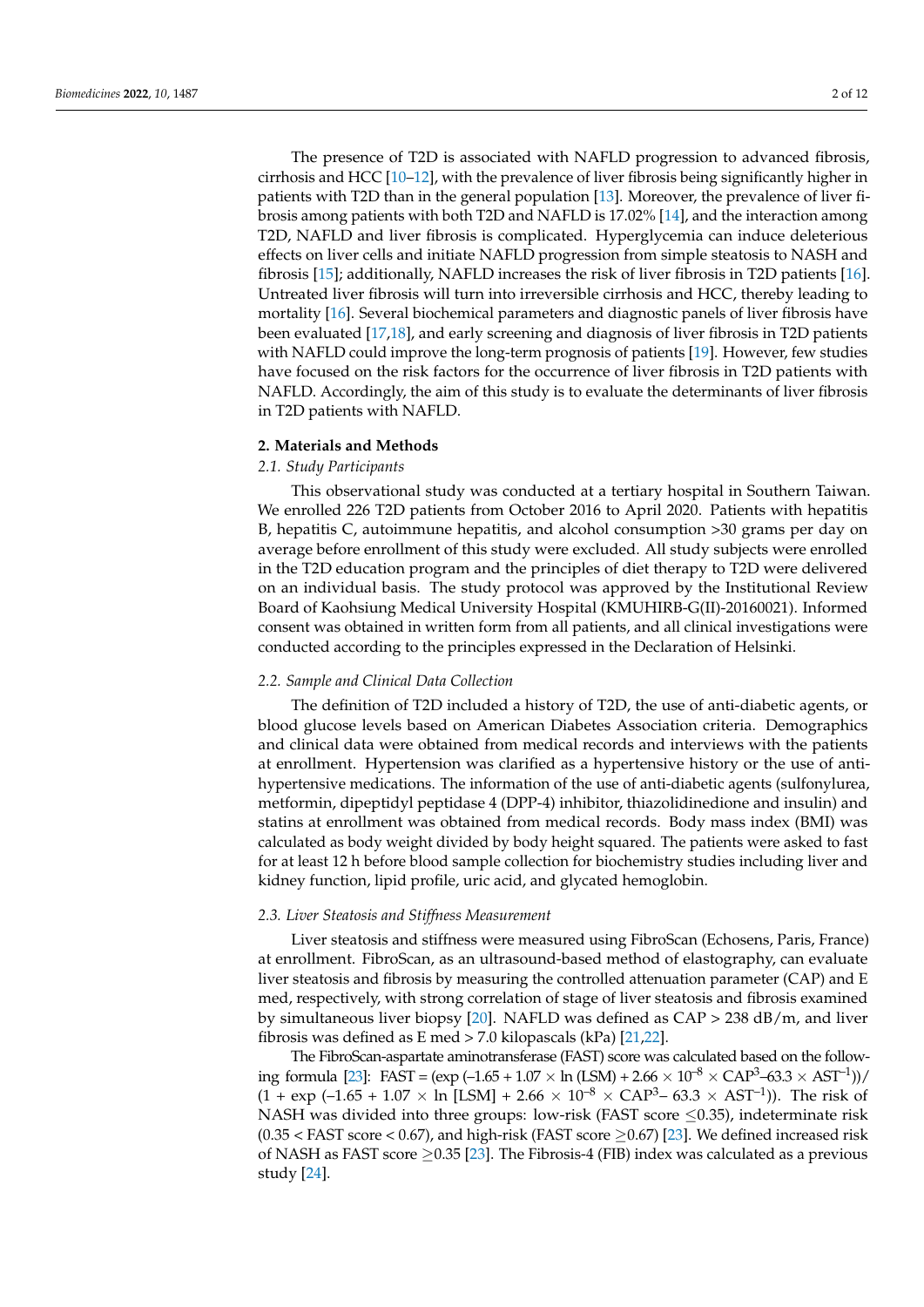The presence of T2D is associated with NAFLD progression to advanced fibrosis, cirrhosis and HCC [\[10–](#page-9-3)[12\]](#page-9-4), with the prevalence of liver fibrosis being significantly higher in patients with T2D than in the general population [\[13\]](#page-9-5). Moreover, the prevalence of liver fibrosis among patients with both T2D and NAFLD is 17.02% [\[14\]](#page-9-6), and the interaction among T2D, NAFLD and liver fibrosis is complicated. Hyperglycemia can induce deleterious effects on liver cells and initiate NAFLD progression from simple steatosis to NASH and fibrosis [\[15\]](#page-9-7); additionally, NAFLD increases the risk of liver fibrosis in T2D patients [\[16\]](#page-9-8). Untreated liver fibrosis will turn into irreversible cirrhosis and HCC, thereby leading to mortality [\[16\]](#page-9-8). Several biochemical parameters and diagnostic panels of liver fibrosis have been evaluated [\[17,](#page-9-9)[18\]](#page-9-10), and early screening and diagnosis of liver fibrosis in T2D patients with NAFLD could improve the long-term prognosis of patients [\[19\]](#page-9-11). However, few studies have focused on the risk factors for the occurrence of liver fibrosis in T2D patients with NAFLD. Accordingly, the aim of this study is to evaluate the determinants of liver fibrosis in T2D patients with NAFLD.

### **2. Materials and Methods**

## *2.1. Study Participants*

This observational study was conducted at a tertiary hospital in Southern Taiwan. We enrolled 226 T2D patients from October 2016 to April 2020. Patients with hepatitis B, hepatitis C, autoimmune hepatitis, and alcohol consumption >30 grams per day on average before enrollment of this study were excluded. All study subjects were enrolled in the T2D education program and the principles of diet therapy to T2D were delivered on an individual basis. The study protocol was approved by the Institutional Review Board of Kaohsiung Medical University Hospital (KMUHIRB-G(II)-20160021). Informed consent was obtained in written form from all patients, and all clinical investigations were conducted according to the principles expressed in the Declaration of Helsinki.

#### *2.2. Sample and Clinical Data Collection*

The definition of T2D included a history of T2D, the use of anti-diabetic agents, or blood glucose levels based on American Diabetes Association criteria. Demographics and clinical data were obtained from medical records and interviews with the patients at enrollment. Hypertension was clarified as a hypertensive history or the use of antihypertensive medications. The information of the use of anti-diabetic agents (sulfonylurea, metformin, dipeptidyl peptidase 4 (DPP-4) inhibitor, thiazolidinedione and insulin) and statins at enrollment was obtained from medical records. Body mass index (BMI) was calculated as body weight divided by body height squared. The patients were asked to fast for at least 12 h before blood sample collection for biochemistry studies including liver and kidney function, lipid profile, uric acid, and glycated hemoglobin.

### *2.3. Liver Steatosis and Stiffness Measurement*

Liver steatosis and stiffness were measured using FibroScan (Echosens, Paris, France) at enrollment. FibroScan, as an ultrasound-based method of elastography, can evaluate liver steatosis and fibrosis by measuring the controlled attenuation parameter (CAP) and E med, respectively, with strong correlation of stage of liver steatosis and fibrosis examined by simultaneous liver biopsy [\[20\]](#page-9-12). NAFLD was defined as  $CAP > 238$  dB/m, and liver fibrosis was defined as E med > 7.0 kilopascals (kPa) [\[21](#page-9-13)[,22\]](#page-9-14).

The FibroScan-aspartate aminotransferase (FAST) score was calculated based on the follow-ing formula [\[23\]](#page-9-15): FAST = (exp (-1.65 + 1.07  $\times$  ln (LSM) + 2.66  $\times$  10<sup>-8</sup>  $\times$  CAP<sup>3</sup>-63.3  $\times$  AST<sup>-1</sup>))/  $(1 + \exp(-1.65 + 1.07 \times \ln[\text{LSM}] + 2.66 \times 10^{-8} \times \text{CAP}^3 - 63.3 \times \text{AST}^{-1})$ ). The risk of NASH was divided into three groups: low-risk (FAST score  $\leq$ 0.35), indeterminate risk  $(0.35 <$  FAST score  $< 0.67$ ), and high-risk (FAST score  $\geq 0.67$ ) [\[23\]](#page-9-15). We defined increased risk of NASH as FAST score  $\geq$  0.35 [\[23\]](#page-9-15). The Fibrosis-4 (FIB) index was calculated as a previous study [\[24\]](#page-9-16).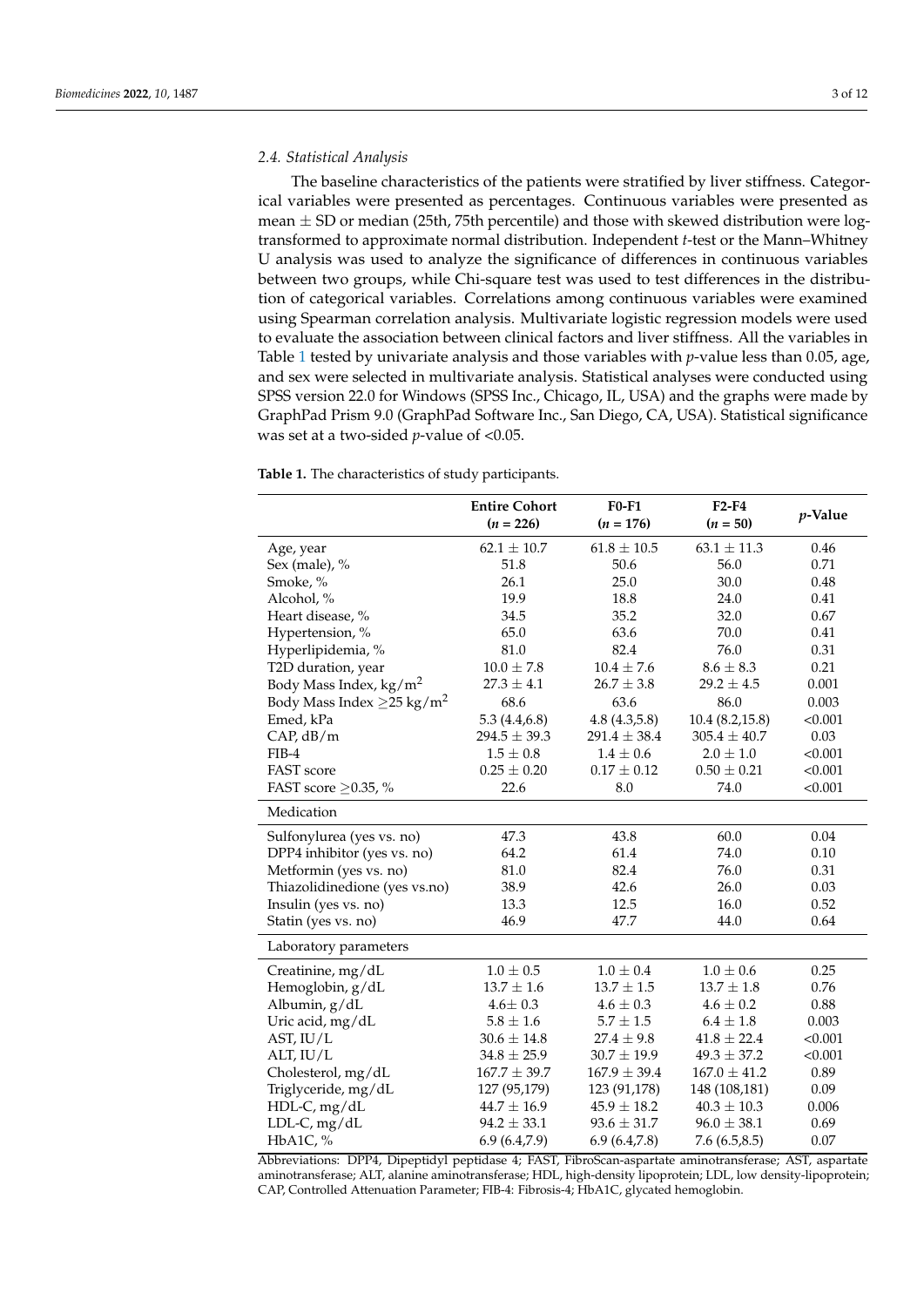## *2.4. Statistical Analysis*

The baseline characteristics of the patients were stratified by liver stiffness. Categorical variables were presented as percentages. Continuous variables were presented as mean  $\pm$  SD or median (25th, 75th percentile) and those with skewed distribution were logtransformed to approximate normal distribution. Independent *t*-test or the Mann–Whitney U analysis was used to analyze the significance of differences in continuous variables between two groups, while Chi-square test was used to test differences in the distribution of categorical variables. Correlations among continuous variables were examined using Spearman correlation analysis. Multivariate logistic regression models were used to evaluate the association between clinical factors and liver stiffness. All the variables in Table [1](#page-2-0) tested by univariate analysis and those variables with *p*-value less than 0.05, age, and sex were selected in multivariate analysis. Statistical analyses were conducted using SPSS version 22.0 for Windows (SPSS Inc., Chicago, IL, USA) and the graphs were made by GraphPad Prism 9.0 (GraphPad Software Inc., San Diego, CA, USA). Statistical significance was set at a two-sided *p*-value of <0.05.

<span id="page-2-0"></span>**Table 1.** The characteristics of study participants.

|                                             | <b>Entire Cohort</b><br>$(n = 226)$ | $F0-F1$<br>$(n = 176)$ | $F2-F4$<br>$(n = 50)$ | $p$ -Value |
|---------------------------------------------|-------------------------------------|------------------------|-----------------------|------------|
| Age, year                                   | $62.1 \pm 10.7$                     | $61.8 \pm 10.5$        | $63.1 \pm 11.3$       | 0.46       |
| Sex (male), %                               | 51.8                                | 50.6                   | 56.0                  | 0.71       |
| Smoke, %                                    | 26.1                                | 25.0                   | 30.0                  | 0.48       |
| Alcohol, %                                  | 19.9                                | 18.8                   | 24.0                  | 0.41       |
| Heart disease, %                            | 34.5                                | 35.2                   | 32.0                  | 0.67       |
| Hypertension, %                             | 65.0                                | 63.6                   | 70.0                  | 0.41       |
| Hyperlipidemia, %                           | 81.0                                | 82.4                   | 76.0                  | 0.31       |
| T2D duration, year                          | $10.0 \pm 7.8$                      | $10.4 \pm 7.6$         | $8.6 \pm 8.3$         | 0.21       |
| Body Mass Index, $\text{kg/m}^2$            | $27.3 \pm 4.1$                      | $26.7 \pm 3.8$         | $29.2 \pm 4.5$        | 0.001      |
| Body Mass Index $\geq$ 25 kg/m <sup>2</sup> | 68.6                                | 63.6                   | 86.0                  | 0.003      |
| Emed, kPa                                   | 5.3(4.4, 6.8)                       | 4.8(4.3,5.8)           | 10.4(8.2,15.8)        | < 0.001    |
| CAP, dB/m                                   | $294.5 \pm 39.3$                    | $291.4 \pm 38.4$       | $305.4 \pm 40.7$      | 0.03       |
| $FIB-4$                                     | $1.5 \pm 0.8$                       | $1.4 \pm 0.6$          | $2.0 \pm 1.0$         | < 0.001    |
| FAST score                                  | $0.25 \pm 0.20$                     | $0.17 \pm 0.12$        | $0.50 \pm 0.21$       | < 0.001    |
| FAST score $\geq$ 0.35, %                   | 22.6                                | 8.0                    | 74.0                  | < 0.001    |
| Medication                                  |                                     |                        |                       |            |
| Sulfonylurea (yes vs. no)                   | 47.3                                | 43.8                   | 60.0                  | 0.04       |
| DPP4 inhibitor (yes vs. no)                 | 64.2                                | 61.4                   | 74.0                  | 0.10       |
| Metformin (yes vs. no)                      | 81.0                                | 82.4                   | 76.0                  | 0.31       |
| Thiazolidinedione (yes vs.no)               | 38.9                                | 42.6                   | 26.0                  | 0.03       |
| Insulin (yes vs. no)                        | 13.3                                | 12.5                   | 16.0                  | 0.52       |
| Statin (yes vs. no)                         | 46.9                                | 47.7                   | 44.0                  | 0.64       |
| Laboratory parameters                       |                                     |                        |                       |            |
| Creatinine, $mg/dL$                         | $1.0 \pm 0.5$                       | $1.0 \pm 0.4$          | $1.0 \pm 0.6$         | 0.25       |
| Hemoglobin, g/dL                            | $13.7 \pm 1.6$                      | $13.7 \pm 1.5$         | $13.7 \pm 1.8$        | 0.76       |
| Albumin, g/dL                               | $4.6 \pm 0.3$                       | $4.6 \pm 0.3$          | $4.6 \pm 0.2$         | 0.88       |
| Uric acid, mg/dL                            | $5.8 \pm 1.6$                       | $5.7 \pm 1.5$          | $6.4 \pm 1.8$         | 0.003      |
| AST, IU/L                                   | $30.6 \pm 14.8$                     | $27.4 \pm 9.8$         | $41.8 \pm 22.4$       | < 0.001    |
| ALT, IU/L                                   | $34.8 \pm 25.9$                     | $30.7 \pm 19.9$        | $49.3 \pm 37.2$       | < 0.001    |
| Cholesterol, mg/dL                          | $167.7 \pm 39.7$                    | $167.9 \pm 39.4$       | $167.0 \pm 41.2$      | 0.89       |
| Triglyceride, mg/dL                         | 127 (95,179)                        | 123 (91,178)           | 148 (108,181)         | 0.09       |
| HDL-C, mg/dL                                | $44.7 \pm 16.9$                     | $45.9 \pm 18.2$        | $40.3 \pm 10.3$       | 0.006      |
| $LDL-C, mg/dL$                              | $94.2 \pm 33.1$                     | $93.6 \pm 31.7$        | $96.0 \pm 38.1$       | 0.69       |
| HbA1C, %                                    | 6.9(6.4,7.9)                        | 6.9(6.4,7.8)           | 7.6(6.5, 8.5)         | 0.07       |

Abbreviations: DPP4, Dipeptidyl peptidase 4; FAST, FibroScan-aspartate aminotransferase; AST, aspartate aminotransferase; ALT, alanine aminotransferase; HDL, high-density lipoprotein; LDL, low density-lipoprotein; CAP, Controlled Attenuation Parameter; FIB-4: Fibrosis-4; HbA1C, glycated hemoglobin.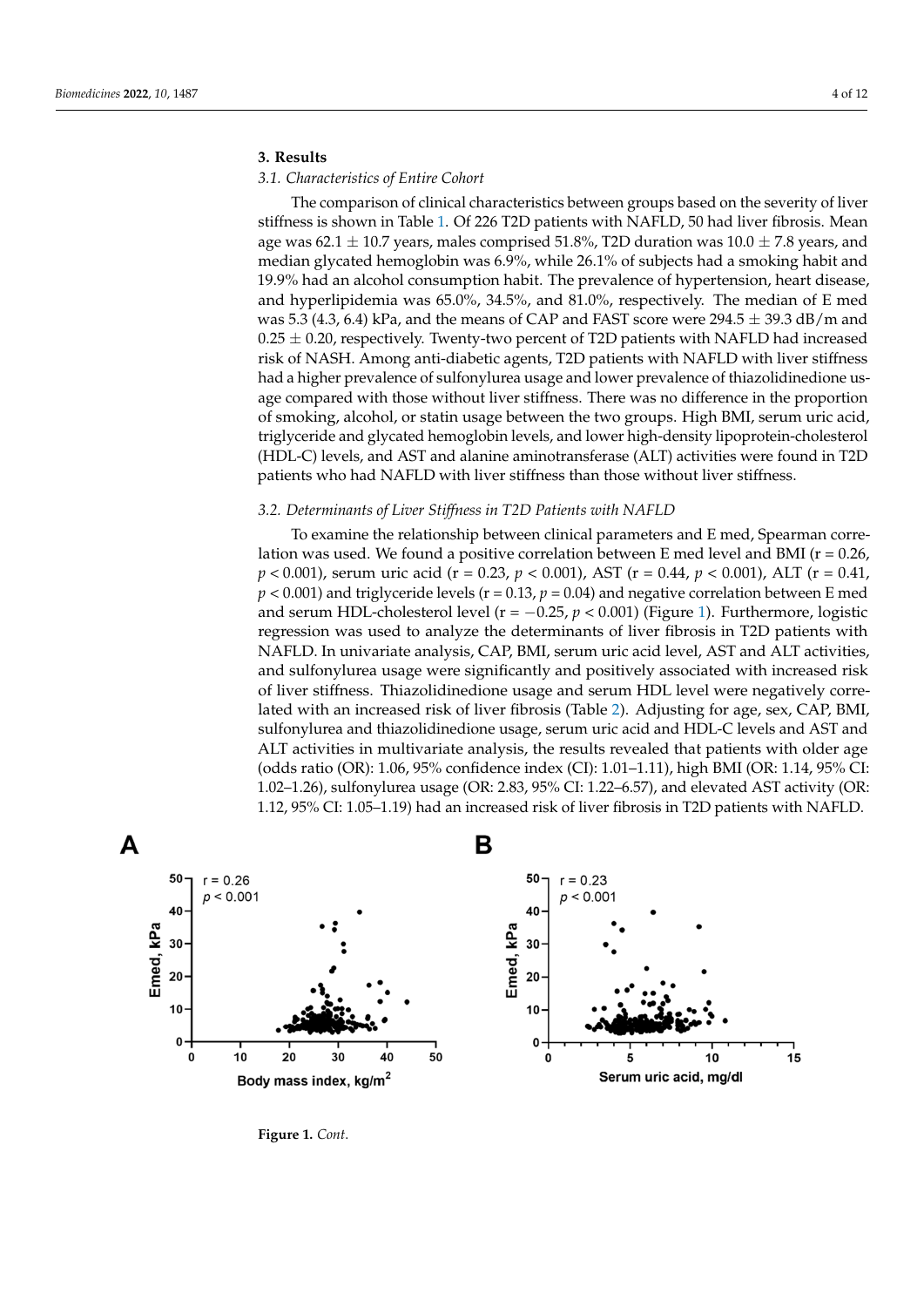## **3. Results**

#### *3.1. Characteristics of Entire Cohort*

The comparison of clinical characteristics between groups based on the severity of liver stiffness is shown in Table [1.](#page-2-0) Of 226 T2D patients with NAFLD, 50 had liver fibrosis. Mean age was 62.1  $\pm$  10.7 years, males comprised 51.8%, T2D duration was 10.0  $\pm$  7.8 years, and median glycated hemoglobin was 6.9%, while 26.1% of subjects had a smoking habit and 19.9% had an alcohol consumption habit. The prevalence of hypertension, heart disease, and hyperlipidemia was 65.0%, 34.5%, and 81.0%, respectively. The median of E med was 5.3 (4.3, 6.4) kPa, and the means of CAP and FAST score were  $294.5 \pm 39.3$  dB/m and  $0.25 \pm 0.20$ , respectively. Twenty-two percent of T2D patients with NAFLD had increased risk of NASH. Among anti-diabetic agents, T2D patients with NAFLD with liver stiffness had a higher prevalence of sulfonylurea usage and lower prevalence of thiazolidinedione usage compared with those without liver stiffness. There was no difference in the proportion of smoking, alcohol, or statin usage between the two groups. High BMI, serum uric acid, triglyceride and glycated hemoglobin levels, and lower high-density lipoprotein-cholesterol (HDL-C) levels, and AST and alanine aminotransferase (ALT) activities were found in T2D patients who had NAFLD with liver stiffness than those without liver stiffness.

# *3.2. Determinants of Liver Stiffness in T2D Patients with NAFLD*

To examine the relationship between clinical parameters and E med, Spearman correlation was used. We found a positive correlation between E med level and BMI ( $r = 0.26$ , *p* < 0.001), serum uric acid (r = 0.23, *p* < 0.001), AST (r = 0.44, *p* < 0.001), ALT (r = 0.41,  $p < 0.001$ ) and triglyceride levels ( $r = 0.13$ ,  $p = 0.04$ ) and negative correlation between E med and serum HDL-cholesterol level ( $r = -0.25$ ,  $p < 0.001$ ) (Figure [1\)](#page-4-0). Furthermore, logistic regression was used to analyze the determinants of liver fibrosis in T2D patients with NAFLD. In univariate analysis, CAP, BMI, serum uric acid level, AST and ALT activities, and sulfonylurea usage were significantly and positively associated with increased risk of liver stiffness. Thiazolidinedione usage and serum HDL level were negatively correlated with an increased risk of liver fibrosis (Table [2\)](#page-5-0). Adjusting for age, sex, CAP, BMI, sulfonylurea and thiazolidinedione usage, serum uric acid and HDL-C levels and AST and ALT activities in multivariate analysis, the results revealed that patients with older age (odds ratio (OR): 1.06, 95% confidence index (CI): 1.01–1.11), high BMI (OR: 1.14, 95% CI: 1.02–1.26), sulfonylurea usage (OR: 2.83, 95% CI: 1.22–6.57), and elevated AST activity (OR: 1.12, 95% CI: 1.05–1.19) had an increased risk of liver fibrosis in T2D patients with NAFLD.



**Figure 1.** *Cont*.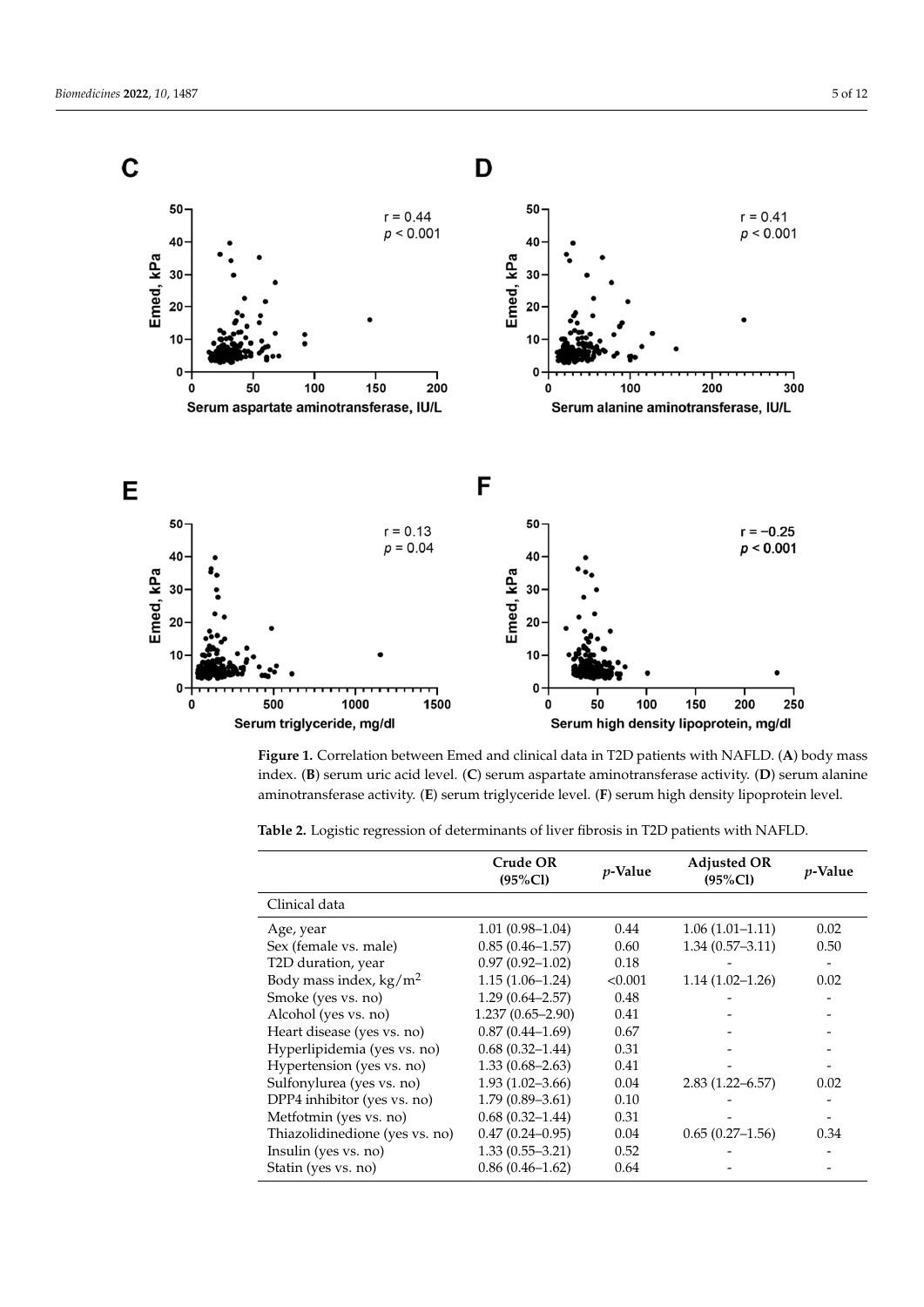<span id="page-4-0"></span>

index. (**B**) serum uric acid level. (**C**) serum aspartate aminotransferase activity. (**D**) serum alanine aminotransferase activity. (**E**) serum triglyceride level. (**F**) serum high density lipoprotein level. **Figure 1.** Correlation between Emed and clinical data in T2D patients with NAFLD. (**A**) body mass

| Table 2. Logistic regression of determinants of liver fibrosis in T2D patients with NAFLD. |  |
|--------------------------------------------------------------------------------------------|--|
|                                                                                            |  |

|                                  | Crude OR<br>$(95\%CI)$ | <i>v</i> -Value | <b>Adjusted OR</b><br>$(95\%CI)$ | <i>p</i> -Value |
|----------------------------------|------------------------|-----------------|----------------------------------|-----------------|
| Clinical data                    |                        |                 |                                  |                 |
| Age, year                        | $1.01(0.98-1.04)$      | 0.44            | $1.06(1.01-1.11)$                | 0.02            |
| Sex (female vs. male)            | $0.85(0.46 - 1.57)$    | 0.60            | $1.34(0.57-3.11)$                | 0.50            |
| T2D duration, year               | $0.97(0.92 - 1.02)$    | 0.18            |                                  |                 |
| Body mass index, $\text{kg/m}^2$ | $1.15(1.06-1.24)$      | < 0.001         | $1.14(1.02 - 1.26)$              | 0.02            |
| Smoke (yes vs. no)               | $1.29(0.64 - 2.57)$    | 0.48            |                                  |                 |
| Alcohol (yes vs. no)             | $1.237(0.65 - 2.90)$   | 0.41            |                                  |                 |
| Heart disease (yes vs. no)       | $0.87(0.44 - 1.69)$    | 0.67            |                                  |                 |
| Hyperlipidemia (yes vs. no)      | $0.68(0.32 - 1.44)$    | 0.31            |                                  |                 |
| Hypertension (yes vs. no)        | $1.33(0.68 - 2.63)$    | 0.41            |                                  |                 |
| Sulfonylurea (yes vs. no)        | $1.93(1.02 - 3.66)$    | 0.04            | $2.83(1.22 - 6.57)$              | 0.02            |
| DPP4 inhibitor (yes vs. no)      | $1.79(0.89 - 3.61)$    | 0.10            |                                  |                 |
| Metfotmin (yes vs. no)           | $0.68(0.32 - 1.44)$    | 0.31            |                                  |                 |
| Thiazolidinedione (yes vs. no)   | $0.47(0.24 - 0.95)$    | 0.04            | $0.65(0.27-1.56)$                | 0.34            |
| Insulin (yes vs. no)             | $1.33(0.55 - 3.21)$    | 0.52            |                                  |                 |
| Statin (yes vs. no)              | $0.86(0.46 - 1.62)$    | 0.64            |                                  |                 |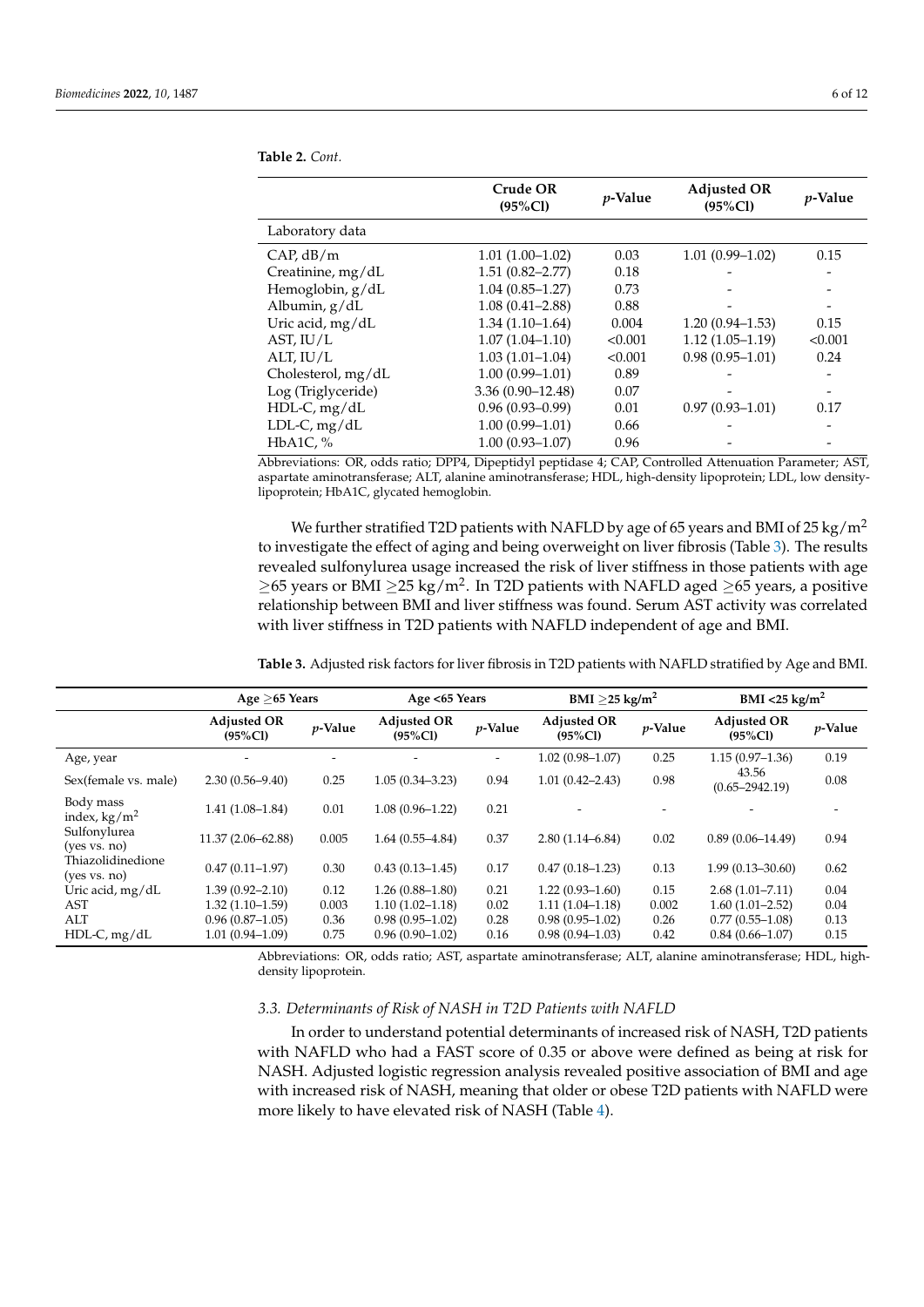|                    | Crude OR<br>$(95\%CI)$ | <i>p</i> -Value | <b>Adjusted OR</b><br>$(95\%CI)$ | <i>p</i> -Value |
|--------------------|------------------------|-----------------|----------------------------------|-----------------|
| Laboratory data    |                        |                 |                                  |                 |
| CAP, dB/m          | $1.01(1.00-1.02)$      | 0.03            | $1.01(0.99 - 1.02)$              | 0.15            |
| Creatinine, mg/dL  | $1.51(0.82 - 2.77)$    | 0.18            |                                  |                 |
| Hemoglobin, g/dL   | $1.04(0.85 - 1.27)$    | 0.73            |                                  |                 |
| Albumin, g/dL      | $1.08(0.41 - 2.88)$    | 0.88            |                                  |                 |
| Uric acid, mg/dL   | $1.34(1.10-1.64)$      | 0.004           | $1.20(0.94 - 1.53)$              | 0.15            |
| AST, $IU/L$        | $1.07(1.04 - 1.10)$    | < 0.001         | $1.12(1.05-1.19)$                | < 0.001         |
| ALT, IU/L          | $1.03(1.01 - 1.04)$    | < 0.001         | $0.98(0.95 - 1.01)$              | 0.24            |
| Cholesterol, mg/dL | $1.00(0.99 - 1.01)$    | 0.89            |                                  |                 |
| Log (Triglyceride) | $3.36(0.90 - 12.48)$   | 0.07            |                                  |                 |
| HDL-C, mg/dL       | $0.96(0.93 - 0.99)$    | 0.01            | $0.97(0.93 - 1.01)$              | 0.17            |
| $LDL-C, mg/dL$     | $1.00(0.99 - 1.01)$    | 0.66            |                                  |                 |
| HbA1C, $%$         | $1.00(0.93 - 1.07)$    | 0.96            |                                  |                 |
|                    |                        |                 |                                  |                 |

<span id="page-5-0"></span>**Table 2.** *Cont.*

Abbreviations: OR, odds ratio; DPP4, Dipeptidyl peptidase 4; CAP, Controlled Attenuation Parameter; AST, aspartate aminotransferase; ALT, alanine aminotransferase; HDL, high-density lipoprotein; LDL, low densitylipoprotein; HbA1C, glycated hemoglobin.

We further stratified T2D patients with NAFLD by age of 65 years and BMI of 25 kg/ $m^2$ to investigate the effect of aging and being overweight on liver fibrosis (Table [3\)](#page-5-1). The results revealed sulfonylurea usage increased the risk of liver stiffness in those patients with age  $\geq$ 65 years or BMI  $\geq$ 25 kg/m<sup>2</sup>. In T2D patients with NAFLD aged  $\geq$ 65 years, a positive relationship between BMI and liver stiffness was found. Serum AST activity was correlated with liver stiffness in T2D patients with NAFLD independent of age and BMI.

**Age** ≥**65 Years Age <65 Years BMI** ≥**25 kg/m<sup>2</sup> BMI <25 kg/m<sup>2</sup> Adjusted OR (95%Cl)** *<sup>p</sup>***-Value Adjusted OR (95%Cl)** *<sup>p</sup>***-Value Adjusted OR (95%Cl)** *<sup>p</sup>***-Value Adjusted OR (95%Cl)** *<sup>p</sup>***-Value** Age, year - - - - 1.02 (0.98–1.07) 0.25 1.15 (0.97–1.36) 0.19 Sex(female vs. male) 2.30 (0.56–9.40) 0.25 1.05 (0.34–3.23) 0.94 1.01 (0.42–2.43) 0.98 43.56  $43.56$ <br>(0.65–2942.19) 0.08 Body mass index, kg/m<sup>2</sup> 1.41 (1.08–1.84) 0.01 1.08 (0.96–1.22) 0.21 - - - - Sulfonylurea<br>(yes vs. no) (yes vs. no) 11.37 (2.06–62.88) 0.005 1.64 (0.55–4.84) 0.37 2.80 (1.14–6.84) 0.02 0.89 (0.06–14.49) 0.94 Thiazolidinedione<br>(yes vs. no) (yes vs. no) 0.47 (0.11–1.97) 0.30 0.43 (0.13–1.45) 0.17 0.47 (0.18–1.23) 0.13 1.99 (0.13–30.60) 0.62 Uric acid, mg/dL 1.39 (0.92–2.10) 0.12 1.26 (0.88–1.80) 0.21 1.22 (0.93–1.60) 0.15 2.68 (1.01–7.11) 0.04 AST 1.32 (1.10–1.59) 0.003 1.10 (1.02–1.18) 0.02 1.11 (1.04–1.18) 0.002 1.60 (1.01–2.52) 0.04 ALT 0.96 (0.87–1.05) 0.36 0.98 (0.95–1.02) 0.28 0.98 (0.95–1.02) 0.26 0.77 (0.55–1.08) 0.13 HDL-C, mg/dL 1.01 (0.94–1.09) 0.75 0.96 (0.90–1.02) 0.16 0.98 (0.94–1.03) 0.42 0.84 (0.66–1.07) 0.15

<span id="page-5-1"></span>**Table 3.** Adjusted risk factors for liver fibrosis in T2D patients with NAFLD stratified by Age and BMI.

Abbreviations: OR, odds ratio; AST, aspartate aminotransferase; ALT, alanine aminotransferase; HDL, highdensity lipoprotein.

## *3.3. Determinants of Risk of NASH in T2D Patients with NAFLD*

In order to understand potential determinants of increased risk of NASH, T2D patients with NAFLD who had a FAST score of 0.35 or above were defined as being at risk for NASH. Adjusted logistic regression analysis revealed positive association of BMI and age with increased risk of NASH, meaning that older or obese T2D patients with NAFLD were more likely to have elevated risk of NASH (Table [4\)](#page-6-0).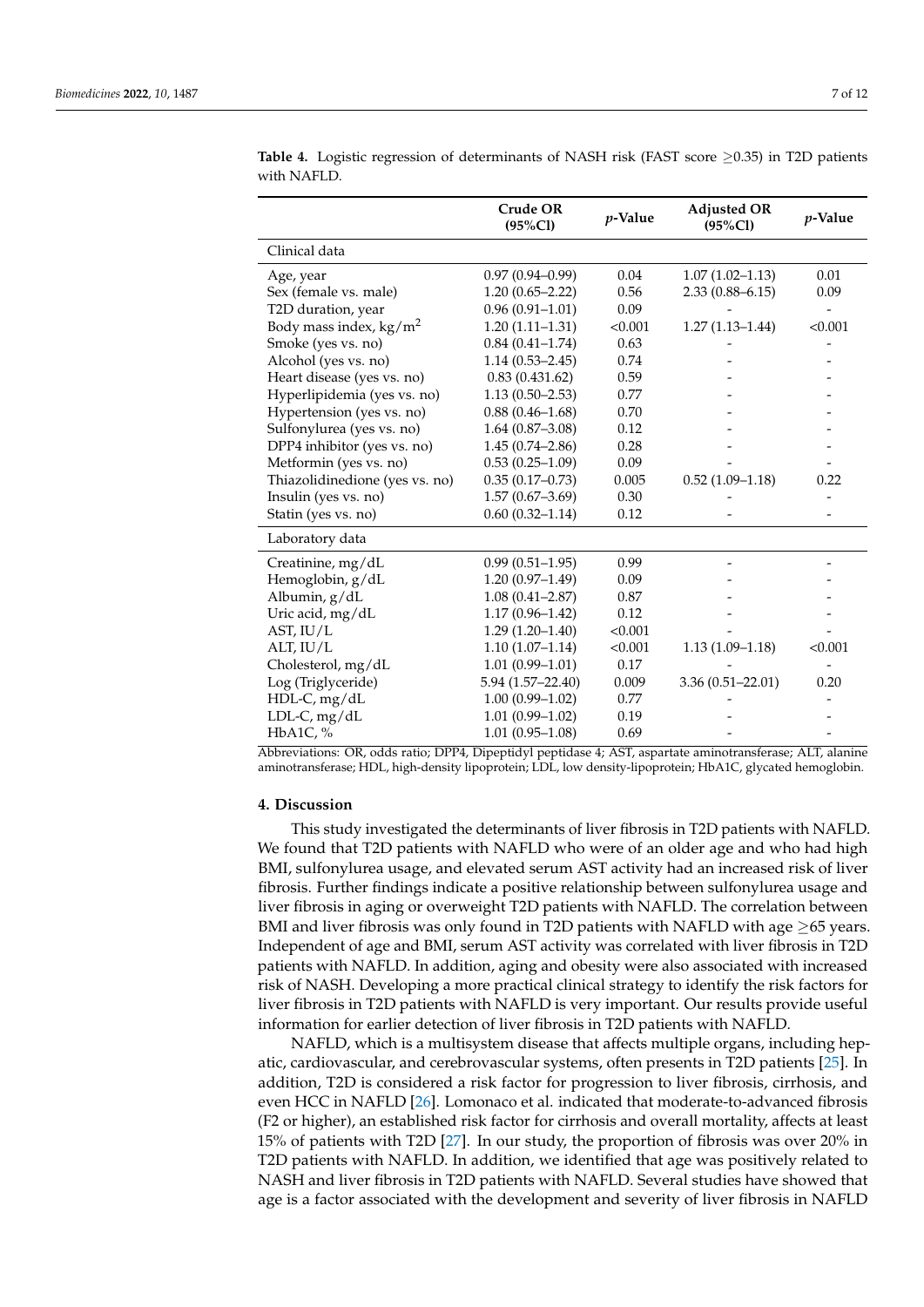|                                  | <b>Crude OR</b><br>$(95\%CI)$ | $p$ -Value | <b>Adjusted OR</b><br>$(95\%CI)$ | p-Value |
|----------------------------------|-------------------------------|------------|----------------------------------|---------|
| Clinical data                    |                               |            |                                  |         |
| Age, year                        | $0.97(0.94 - 0.99)$           | 0.04       | $1.07(1.02 - 1.13)$              | 0.01    |
| Sex (female vs. male)            | $1.20(0.65 - 2.22)$           | 0.56       | $2.33(0.88 - 6.15)$              | 0.09    |
| T2D duration, year               | $0.96(0.91 - 1.01)$           | 0.09       |                                  |         |
| Body mass index, $\text{kg/m}^2$ | $1.20(1.11-1.31)$             | < 0.001    | $1.27(1.13 - 1.44)$              | < 0.001 |
| Smoke (yes vs. no)               | $0.84(0.41 - 1.74)$           | 0.63       |                                  |         |
| Alcohol (yes vs. no)             | $1.14(0.53 - 2.45)$           | 0.74       |                                  |         |
| Heart disease (yes vs. no)       | 0.83(0.431.62)                | 0.59       |                                  |         |
| Hyperlipidemia (yes vs. no)      | $1.13(0.50 - 2.53)$           | 0.77       |                                  |         |
| Hypertension (yes vs. no)        | $0.88(0.46 - 1.68)$           | 0.70       |                                  |         |
| Sulfonylurea (yes vs. no)        | $1.64(0.87 - 3.08)$           | 0.12       |                                  |         |
| DPP4 inhibitor (yes vs. no)      | $1.45(0.74 - 2.86)$           | 0.28       |                                  |         |
| Metformin (yes vs. no)           | $0.53(0.25-1.09)$             | 0.09       |                                  |         |
| Thiazolidinedione (yes vs. no)   | $0.35(0.17-0.73)$             | 0.005      | $0.52(1.09-1.18)$                | 0.22    |
| Insulin (yes vs. no)             | $1.57(0.67 - 3.69)$           | 0.30       |                                  |         |
| Statin (yes vs. no)              | $0.60(0.32 - 1.14)$           | 0.12       |                                  |         |
| Laboratory data                  |                               |            |                                  |         |
| Creatinine, mg/dL                | $0.99(0.51 - 1.95)$           | 0.99       |                                  |         |
| Hemoglobin, g/dL                 | $1.20(0.97 - 1.49)$           | 0.09       |                                  |         |
| Albumin, g/dL                    | $1.08(0.41 - 2.87)$           | 0.87       |                                  |         |
| Uric acid, mg/dL                 | $1.17(0.96 - 1.42)$           | 0.12       |                                  |         |
| AST, $IU/L$                      | $1.29(1.20 - 1.40)$           | < 0.001    |                                  |         |
| ALT, IU/L                        | $1.10(1.07-1.14)$             | < 0.001    | $1.13(1.09-1.18)$                | < 0.001 |
| Cholesterol, mg/dL               | $1.01(0.99 - 1.01)$           | 0.17       |                                  |         |
| Log (Triglyceride)               | 5.94 (1.57-22.40)             | 0.009      | $3.36(0.51 - 22.01)$             | 0.20    |
| HDL-C, mg/dL                     | $1.00(0.99 - 1.02)$           | 0.77       |                                  |         |
| LDL-C, mg/dL                     | $1.01(0.99 - 1.02)$           | 0.19       |                                  |         |
| HbA1C, %                         | $1.01(0.95 - 1.08)$           | 0.69       |                                  |         |

<span id="page-6-0"></span>**Table 4.** Logistic regression of determinants of NASH risk (FAST score ≥0.35) in T2D patients with NAFLD.

Abbreviations: OR, odds ratio; DPP4, Dipeptidyl peptidase 4; AST, aspartate aminotransferase; ALT, alanine aminotransferase; HDL, high-density lipoprotein; LDL, low density-lipoprotein; HbA1C, glycated hemoglobin.

### **4. Discussion**

This study investigated the determinants of liver fibrosis in T2D patients with NAFLD. We found that T2D patients with NAFLD who were of an older age and who had high BMI, sulfonylurea usage, and elevated serum AST activity had an increased risk of liver fibrosis. Further findings indicate a positive relationship between sulfonylurea usage and liver fibrosis in aging or overweight T2D patients with NAFLD. The correlation between BMI and liver fibrosis was only found in T2D patients with NAFLD with age ≥65 years. Independent of age and BMI, serum AST activity was correlated with liver fibrosis in T2D patients with NAFLD. In addition, aging and obesity were also associated with increased risk of NASH. Developing a more practical clinical strategy to identify the risk factors for liver fibrosis in T2D patients with NAFLD is very important. Our results provide useful information for earlier detection of liver fibrosis in T2D patients with NAFLD.

NAFLD, which is a multisystem disease that affects multiple organs, including hepatic, cardiovascular, and cerebrovascular systems, often presents in T2D patients [\[25\]](#page-9-17). In addition, T2D is considered a risk factor for progression to liver fibrosis, cirrhosis, and even HCC in NAFLD [\[26\]](#page-9-18). Lomonaco et al. indicated that moderate-to-advanced fibrosis (F2 or higher), an established risk factor for cirrhosis and overall mortality, affects at least 15% of patients with T2D [\[27\]](#page-9-19). In our study, the proportion of fibrosis was over 20% in T2D patients with NAFLD. In addition, we identified that age was positively related to NASH and liver fibrosis in T2D patients with NAFLD. Several studies have showed that age is a factor associated with the development and severity of liver fibrosis in NAFLD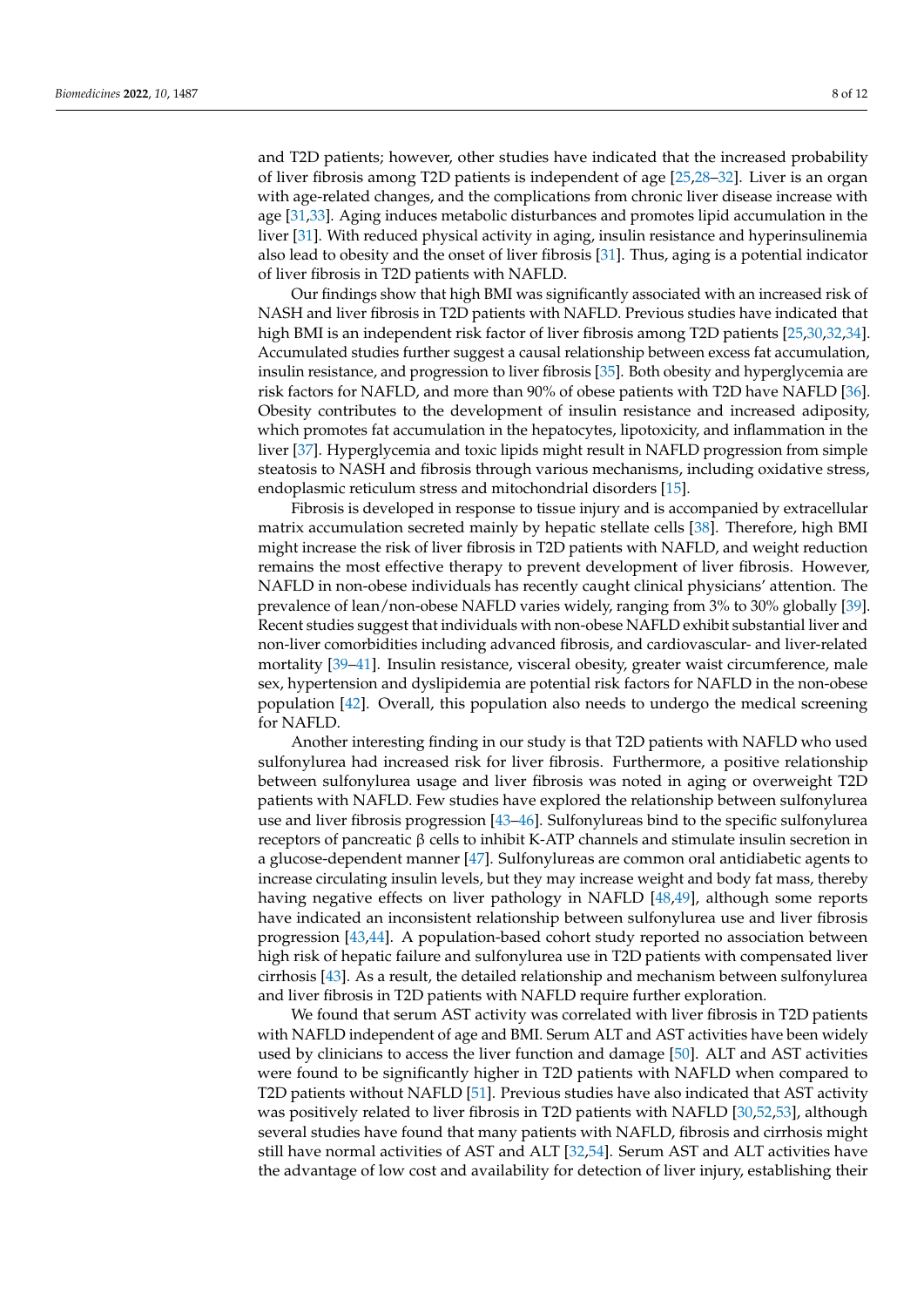and T2D patients; however, other studies have indicated that the increased probability of liver fibrosis among T2D patients is independent of age [\[25,](#page-9-17)[28–](#page-10-0)[32\]](#page-10-1). Liver is an organ with age-related changes, and the complications from chronic liver disease increase with age [\[31,](#page-10-2)[33\]](#page-10-3). Aging induces metabolic disturbances and promotes lipid accumulation in the liver [\[31\]](#page-10-2). With reduced physical activity in aging, insulin resistance and hyperinsulinemia also lead to obesity and the onset of liver fibrosis [\[31\]](#page-10-2). Thus, aging is a potential indicator of liver fibrosis in T2D patients with NAFLD.

Our findings show that high BMI was significantly associated with an increased risk of NASH and liver fibrosis in T2D patients with NAFLD. Previous studies have indicated that high BMI is an independent risk factor of liver fibrosis among T2D patients [\[25,](#page-9-17)[30,](#page-10-4)[32,](#page-10-1)[34\]](#page-10-5). Accumulated studies further suggest a causal relationship between excess fat accumulation, insulin resistance, and progression to liver fibrosis [\[35\]](#page-10-6). Both obesity and hyperglycemia are risk factors for NAFLD, and more than 90% of obese patients with T2D have NAFLD [\[36\]](#page-10-7). Obesity contributes to the development of insulin resistance and increased adiposity, which promotes fat accumulation in the hepatocytes, lipotoxicity, and inflammation in the liver [\[37\]](#page-10-8). Hyperglycemia and toxic lipids might result in NAFLD progression from simple steatosis to NASH and fibrosis through various mechanisms, including oxidative stress, endoplasmic reticulum stress and mitochondrial disorders [\[15\]](#page-9-7).

Fibrosis is developed in response to tissue injury and is accompanied by extracellular matrix accumulation secreted mainly by hepatic stellate cells [\[38\]](#page-10-9). Therefore, high BMI might increase the risk of liver fibrosis in T2D patients with NAFLD, and weight reduction remains the most effective therapy to prevent development of liver fibrosis. However, NAFLD in non-obese individuals has recently caught clinical physicians' attention. The prevalence of lean/non-obese NAFLD varies widely, ranging from 3% to 30% globally [\[39\]](#page-10-10). Recent studies suggest that individuals with non-obese NAFLD exhibit substantial liver and non-liver comorbidities including advanced fibrosis, and cardiovascular- and liver-related mortality [\[39](#page-10-10)[–41\]](#page-10-11). Insulin resistance, visceral obesity, greater waist circumference, male sex, hypertension and dyslipidemia are potential risk factors for NAFLD in the non-obese population [\[42\]](#page-10-12). Overall, this population also needs to undergo the medical screening for NAFLD.

Another interesting finding in our study is that T2D patients with NAFLD who used sulfonylurea had increased risk for liver fibrosis. Furthermore, a positive relationship between sulfonylurea usage and liver fibrosis was noted in aging or overweight T2D patients with NAFLD. Few studies have explored the relationship between sulfonylurea use and liver fibrosis progression [\[43](#page-10-13)[–46\]](#page-10-14). Sulfonylureas bind to the specific sulfonylurea receptors of pancreatic β cells to inhibit K-ATP channels and stimulate insulin secretion in a glucose-dependent manner [\[47\]](#page-10-15). Sulfonylureas are common oral antidiabetic agents to increase circulating insulin levels, but they may increase weight and body fat mass, thereby having negative effects on liver pathology in NAFLD [\[48](#page-10-16)[,49\]](#page-10-17), although some reports have indicated an inconsistent relationship between sulfonylurea use and liver fibrosis progression [\[43](#page-10-13)[,44\]](#page-10-18). A population-based cohort study reported no association between high risk of hepatic failure and sulfonylurea use in T2D patients with compensated liver cirrhosis [\[43\]](#page-10-13). As a result, the detailed relationship and mechanism between sulfonylurea and liver fibrosis in T2D patients with NAFLD require further exploration.

We found that serum AST activity was correlated with liver fibrosis in T2D patients with NAFLD independent of age and BMI. Serum ALT and AST activities have been widely used by clinicians to access the liver function and damage [\[50\]](#page-10-19). ALT and AST activities were found to be significantly higher in T2D patients with NAFLD when compared to T2D patients without NAFLD [\[51\]](#page-10-20). Previous studies have also indicated that AST activity was positively related to liver fibrosis in T2D patients with NAFLD [\[30,](#page-10-4)[52,](#page-10-21)[53\]](#page-11-0), although several studies have found that many patients with NAFLD, fibrosis and cirrhosis might still have normal activities of AST and ALT [\[32](#page-10-1)[,54\]](#page-11-1). Serum AST and ALT activities have the advantage of low cost and availability for detection of liver injury, establishing their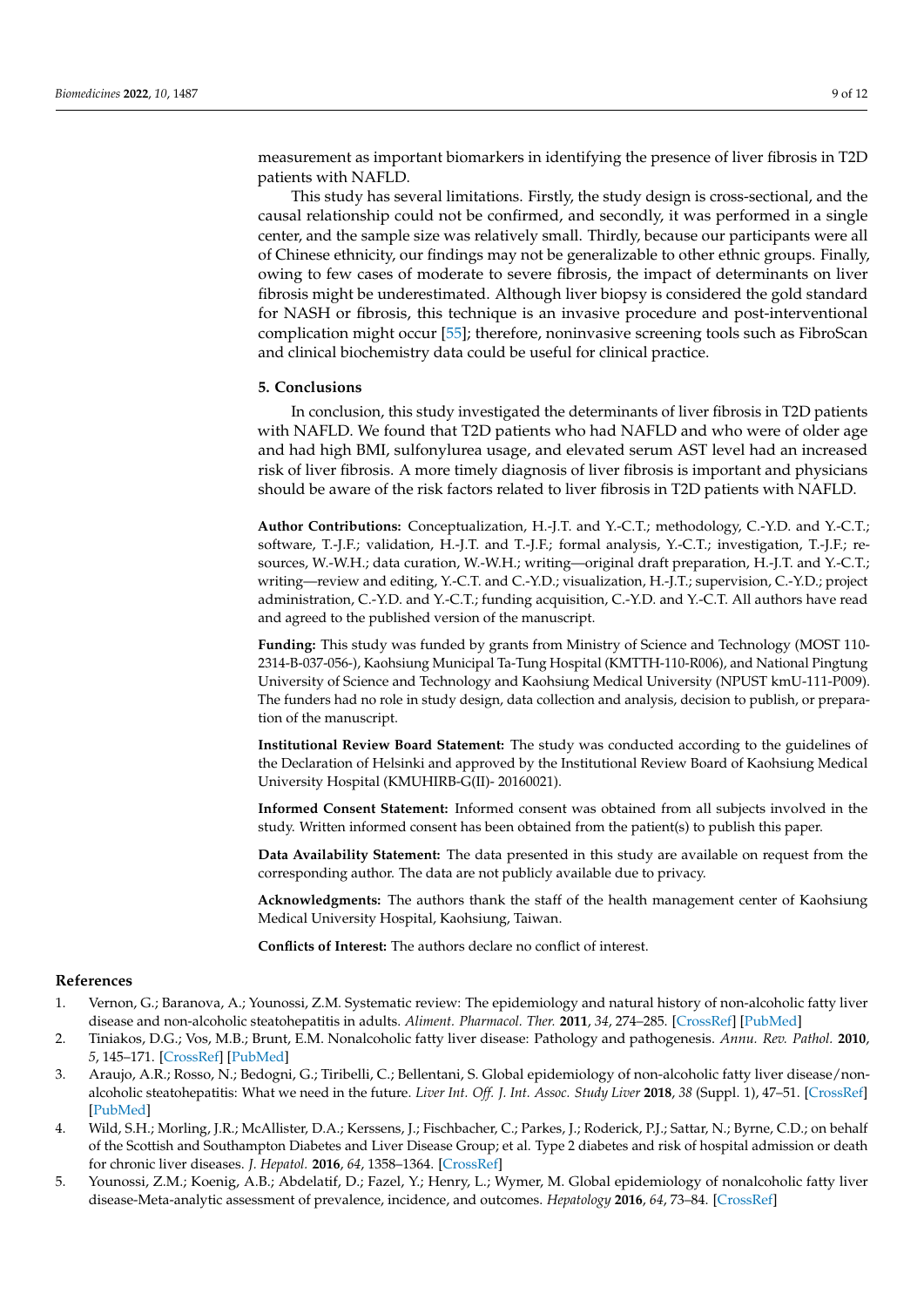measurement as important biomarkers in identifying the presence of liver fibrosis in T2D patients with NAFLD.

This study has several limitations. Firstly, the study design is cross-sectional, and the causal relationship could not be confirmed, and secondly, it was performed in a single center, and the sample size was relatively small. Thirdly, because our participants were all of Chinese ethnicity, our findings may not be generalizable to other ethnic groups. Finally, owing to few cases of moderate to severe fibrosis, the impact of determinants on liver fibrosis might be underestimated. Although liver biopsy is considered the gold standard for NASH or fibrosis, this technique is an invasive procedure and post-interventional complication might occur [\[55\]](#page-11-2); therefore, noninvasive screening tools such as FibroScan and clinical biochemistry data could be useful for clinical practice.

### **5. Conclusions**

In conclusion, this study investigated the determinants of liver fibrosis in T2D patients with NAFLD. We found that T2D patients who had NAFLD and who were of older age and had high BMI, sulfonylurea usage, and elevated serum AST level had an increased risk of liver fibrosis. A more timely diagnosis of liver fibrosis is important and physicians should be aware of the risk factors related to liver fibrosis in T2D patients with NAFLD.

**Author Contributions:** Conceptualization, H.-J.T. and Y.-C.T.; methodology, C.-Y.D. and Y.-C.T.; software, T.-J.F.; validation, H.-J.T. and T.-J.F.; formal analysis, Y.-C.T.; investigation, T.-J.F.; resources, W.-W.H.; data curation, W.-W.H.; writing—original draft preparation, H.-J.T. and Y.-C.T.; writing—review and editing, Y.-C.T. and C.-Y.D.; visualization, H.-J.T.; supervision, C.-Y.D.; project administration, C.-Y.D. and Y.-C.T.; funding acquisition, C.-Y.D. and Y.-C.T. All authors have read and agreed to the published version of the manuscript.

**Funding:** This study was funded by grants from Ministry of Science and Technology (MOST 110- 2314-B-037-056-), Kaohsiung Municipal Ta-Tung Hospital (KMTTH-110-R006), and National Pingtung University of Science and Technology and Kaohsiung Medical University (NPUST kmU-111-P009). The funders had no role in study design, data collection and analysis, decision to publish, or preparation of the manuscript.

**Institutional Review Board Statement:** The study was conducted according to the guidelines of the Declaration of Helsinki and approved by the Institutional Review Board of Kaohsiung Medical University Hospital (KMUHIRB-G(II)- 20160021).

**Informed Consent Statement:** Informed consent was obtained from all subjects involved in the study. Written informed consent has been obtained from the patient(s) to publish this paper.

**Data Availability Statement:** The data presented in this study are available on request from the corresponding author. The data are not publicly available due to privacy.

**Acknowledgments:** The authors thank the staff of the health management center of Kaohsiung Medical University Hospital, Kaohsiung, Taiwan.

**Conflicts of Interest:** The authors declare no conflict of interest.

## **References**

- <span id="page-8-0"></span>1. Vernon, G.; Baranova, A.; Younossi, Z.M. Systematic review: The epidemiology and natural history of non-alcoholic fatty liver disease and non-alcoholic steatohepatitis in adults. *Aliment. Pharmacol. Ther.* **2011**, *34*, 274–285. [\[CrossRef\]](http://doi.org/10.1111/j.1365-2036.2011.04724.x) [\[PubMed\]](http://www.ncbi.nlm.nih.gov/pubmed/21623852)
- <span id="page-8-1"></span>2. Tiniakos, D.G.; Vos, M.B.; Brunt, E.M. Nonalcoholic fatty liver disease: Pathology and pathogenesis. *Annu. Rev. Pathol.* **2010**, *5*, 145–171. [\[CrossRef\]](http://doi.org/10.1146/annurev-pathol-121808-102132) [\[PubMed\]](http://www.ncbi.nlm.nih.gov/pubmed/20078219)
- <span id="page-8-2"></span>3. Araujo, A.R.; Rosso, N.; Bedogni, G.; Tiribelli, C.; Bellentani, S. Global epidemiology of non-alcoholic fatty liver disease/nonalcoholic steatohepatitis: What we need in the future. *Liver Int. Off. J. Int. Assoc. Study Liver* **2018**, *38* (Suppl. 1), 47–51. [\[CrossRef\]](http://doi.org/10.1111/liv.13643) [\[PubMed\]](http://www.ncbi.nlm.nih.gov/pubmed/29427488)
- <span id="page-8-3"></span>4. Wild, S.H.; Morling, J.R.; McAllister, D.A.; Kerssens, J.; Fischbacher, C.; Parkes, J.; Roderick, P.J.; Sattar, N.; Byrne, C.D.; on behalf of the Scottish and Southampton Diabetes and Liver Disease Group; et al. Type 2 diabetes and risk of hospital admission or death for chronic liver diseases. *J. Hepatol.* **2016**, *64*, 1358–1364. [\[CrossRef\]](http://doi.org/10.1016/j.jhep.2016.01.014)
- <span id="page-8-4"></span>5. Younossi, Z.M.; Koenig, A.B.; Abdelatif, D.; Fazel, Y.; Henry, L.; Wymer, M. Global epidemiology of nonalcoholic fatty liver disease-Meta-analytic assessment of prevalence, incidence, and outcomes. *Hepatology* **2016**, *64*, 73–84. [\[CrossRef\]](http://doi.org/10.1002/hep.28431)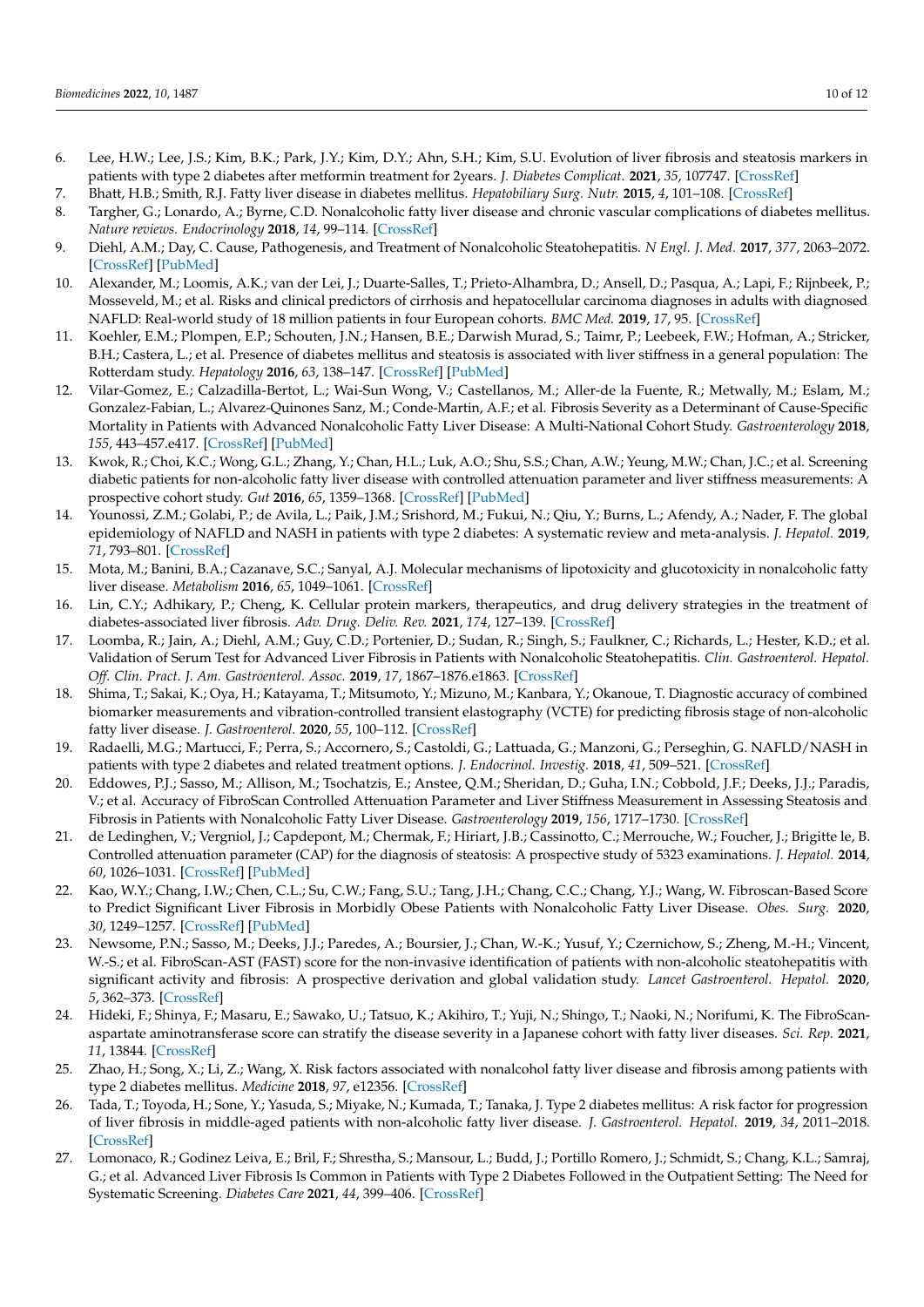- <span id="page-9-0"></span>6. Lee, H.W.; Lee, J.S.; Kim, B.K.; Park, J.Y.; Kim, D.Y.; Ahn, S.H.; Kim, S.U. Evolution of liver fibrosis and steatosis markers in patients with type 2 diabetes after metformin treatment for 2years. *J. Diabetes Complicat.* **2021**, *35*, 107747. [\[CrossRef\]](http://doi.org/10.1016/j.jdiacomp.2020.107747)
- <span id="page-9-1"></span>7. Bhatt, H.B.; Smith, R.J. Fatty liver disease in diabetes mellitus. *Hepatobiliary Surg. Nutr.* **2015**, *4*, 101–108. [\[CrossRef\]](http://doi.org/10.3978/j.issn.2304-3881.2015.01.03)
- 8. Targher, G.; Lonardo, A.; Byrne, C.D. Nonalcoholic fatty liver disease and chronic vascular complications of diabetes mellitus. *Nature reviews. Endocrinology* **2018**, *14*, 99–114. [\[CrossRef\]](http://doi.org/10.1038/nrendo.2017.173)
- <span id="page-9-2"></span>9. Diehl, A.M.; Day, C. Cause, Pathogenesis, and Treatment of Nonalcoholic Steatohepatitis. *N Engl. J. Med.* **2017**, *377*, 2063–2072. [\[CrossRef\]](http://doi.org/10.1056/NEJMra1503519) [\[PubMed\]](http://www.ncbi.nlm.nih.gov/pubmed/29166236)
- <span id="page-9-3"></span>10. Alexander, M.; Loomis, A.K.; van der Lei, J.; Duarte-Salles, T.; Prieto-Alhambra, D.; Ansell, D.; Pasqua, A.; Lapi, F.; Rijnbeek, P.; Mosseveld, M.; et al. Risks and clinical predictors of cirrhosis and hepatocellular carcinoma diagnoses in adults with diagnosed NAFLD: Real-world study of 18 million patients in four European cohorts. *BMC Med.* **2019**, *17*, 95. [\[CrossRef\]](http://doi.org/10.1186/s12916-019-1321-x)
- 11. Koehler, E.M.; Plompen, E.P.; Schouten, J.N.; Hansen, B.E.; Darwish Murad, S.; Taimr, P.; Leebeek, F.W.; Hofman, A.; Stricker, B.H.; Castera, L.; et al. Presence of diabetes mellitus and steatosis is associated with liver stiffness in a general population: The Rotterdam study. *Hepatology* **2016**, *63*, 138–147. [\[CrossRef\]](http://doi.org/10.1002/hep.27981) [\[PubMed\]](http://www.ncbi.nlm.nih.gov/pubmed/26171685)
- <span id="page-9-4"></span>12. Vilar-Gomez, E.; Calzadilla-Bertot, L.; Wai-Sun Wong, V.; Castellanos, M.; Aller-de la Fuente, R.; Metwally, M.; Eslam, M.; Gonzalez-Fabian, L.; Alvarez-Quinones Sanz, M.; Conde-Martin, A.F.; et al. Fibrosis Severity as a Determinant of Cause-Specific Mortality in Patients with Advanced Nonalcoholic Fatty Liver Disease: A Multi-National Cohort Study. *Gastroenterology* **2018**, *155*, 443–457.e417. [\[CrossRef\]](http://doi.org/10.1053/j.gastro.2018.04.034) [\[PubMed\]](http://www.ncbi.nlm.nih.gov/pubmed/29733831)
- <span id="page-9-5"></span>13. Kwok, R.; Choi, K.C.; Wong, G.L.; Zhang, Y.; Chan, H.L.; Luk, A.O.; Shu, S.S.; Chan, A.W.; Yeung, M.W.; Chan, J.C.; et al. Screening diabetic patients for non-alcoholic fatty liver disease with controlled attenuation parameter and liver stiffness measurements: A prospective cohort study. *Gut* **2016**, *65*, 1359–1368. [\[CrossRef\]](http://doi.org/10.1136/gutjnl-2015-309265) [\[PubMed\]](http://www.ncbi.nlm.nih.gov/pubmed/25873639)
- <span id="page-9-6"></span>14. Younossi, Z.M.; Golabi, P.; de Avila, L.; Paik, J.M.; Srishord, M.; Fukui, N.; Qiu, Y.; Burns, L.; Afendy, A.; Nader, F. The global epidemiology of NAFLD and NASH in patients with type 2 diabetes: A systematic review and meta-analysis. *J. Hepatol.* **2019**, *71*, 793–801. [\[CrossRef\]](http://doi.org/10.1016/j.jhep.2019.06.021)
- <span id="page-9-7"></span>15. Mota, M.; Banini, B.A.; Cazanave, S.C.; Sanyal, A.J. Molecular mechanisms of lipotoxicity and glucotoxicity in nonalcoholic fatty liver disease. *Metabolism* **2016**, *65*, 1049–1061. [\[CrossRef\]](http://doi.org/10.1016/j.metabol.2016.02.014)
- <span id="page-9-8"></span>16. Lin, C.Y.; Adhikary, P.; Cheng, K. Cellular protein markers, therapeutics, and drug delivery strategies in the treatment of diabetes-associated liver fibrosis. *Adv. Drug. Deliv. Rev.* **2021**, *174*, 127–139. [\[CrossRef\]](http://doi.org/10.1016/j.addr.2021.04.008)
- <span id="page-9-9"></span>17. Loomba, R.; Jain, A.; Diehl, A.M.; Guy, C.D.; Portenier, D.; Sudan, R.; Singh, S.; Faulkner, C.; Richards, L.; Hester, K.D.; et al. Validation of Serum Test for Advanced Liver Fibrosis in Patients with Nonalcoholic Steatohepatitis. *Clin. Gastroenterol. Hepatol. Off. Clin. Pract. J. Am. Gastroenterol. Assoc.* **2019**, *17*, 1867–1876.e1863. [\[CrossRef\]](http://doi.org/10.1016/j.cgh.2018.11.004)
- <span id="page-9-10"></span>18. Shima, T.; Sakai, K.; Oya, H.; Katayama, T.; Mitsumoto, Y.; Mizuno, M.; Kanbara, Y.; Okanoue, T. Diagnostic accuracy of combined biomarker measurements and vibration-controlled transient elastography (VCTE) for predicting fibrosis stage of non-alcoholic fatty liver disease. *J. Gastroenterol.* **2020**, *55*, 100–112. [\[CrossRef\]](http://doi.org/10.1007/s00535-019-01626-1)
- <span id="page-9-11"></span>19. Radaelli, M.G.; Martucci, F.; Perra, S.; Accornero, S.; Castoldi, G.; Lattuada, G.; Manzoni, G.; Perseghin, G. NAFLD/NASH in patients with type 2 diabetes and related treatment options. *J. Endocrinol. Investig.* **2018**, *41*, 509–521. [\[CrossRef\]](http://doi.org/10.1007/s40618-017-0799-3)
- <span id="page-9-12"></span>20. Eddowes, P.J.; Sasso, M.; Allison, M.; Tsochatzis, E.; Anstee, Q.M.; Sheridan, D.; Guha, I.N.; Cobbold, J.F.; Deeks, J.J.; Paradis, V.; et al. Accuracy of FibroScan Controlled Attenuation Parameter and Liver Stiffness Measurement in Assessing Steatosis and Fibrosis in Patients with Nonalcoholic Fatty Liver Disease. *Gastroenterology* **2019**, *156*, 1717–1730. [\[CrossRef\]](http://doi.org/10.1053/j.gastro.2019.01.042)
- <span id="page-9-13"></span>21. de Ledinghen, V.; Vergniol, J.; Capdepont, M.; Chermak, F.; Hiriart, J.B.; Cassinotto, C.; Merrouche, W.; Foucher, J.; Brigitte le, B. Controlled attenuation parameter (CAP) for the diagnosis of steatosis: A prospective study of 5323 examinations. *J. Hepatol.* **2014**, *60*, 1026–1031. [\[CrossRef\]](http://doi.org/10.1016/j.jhep.2013.12.018) [\[PubMed\]](http://www.ncbi.nlm.nih.gov/pubmed/24378529)
- <span id="page-9-14"></span>22. Kao, W.Y.; Chang, I.W.; Chen, C.L.; Su, C.W.; Fang, S.U.; Tang, J.H.; Chang, C.C.; Chang, Y.J.; Wang, W. Fibroscan-Based Score to Predict Significant Liver Fibrosis in Morbidly Obese Patients with Nonalcoholic Fatty Liver Disease. *Obes. Surg.* **2020**, *30*, 1249–1257. [\[CrossRef\]](http://doi.org/10.1007/s11695-019-04192-w) [\[PubMed\]](http://www.ncbi.nlm.nih.gov/pubmed/31953745)
- <span id="page-9-15"></span>23. Newsome, P.N.; Sasso, M.; Deeks, J.J.; Paredes, A.; Boursier, J.; Chan, W.-K.; Yusuf, Y.; Czernichow, S.; Zheng, M.-H.; Vincent, W.-S.; et al. FibroScan-AST (FAST) score for the non-invasive identification of patients with non-alcoholic steatohepatitis with significant activity and fibrosis: A prospective derivation and global validation study. *Lancet Gastroenterol. Hepatol.* **2020**, *5*, 362–373. [\[CrossRef\]](http://doi.org/10.1016/S2468-1253(19)30383-8)
- <span id="page-9-16"></span>24. Hideki, F.; Shinya, F.; Masaru, E.; Sawako, U.; Tatsuo, K.; Akihiro, T.; Yuji, N.; Shingo, T.; Naoki, N.; Norifumi, K. The FibroScanaspartate aminotransferase score can stratify the disease severity in a Japanese cohort with fatty liver diseases. *Sci. Rep.* **2021**, *11*, 13844. [\[CrossRef\]](http://doi.org/10.1038/s41598-021-93435-x)
- <span id="page-9-17"></span>25. Zhao, H.; Song, X.; Li, Z.; Wang, X. Risk factors associated with nonalcohol fatty liver disease and fibrosis among patients with type 2 diabetes mellitus. *Medicine* **2018**, *97*, e12356. [\[CrossRef\]](http://doi.org/10.1097/MD.0000000000012356)
- <span id="page-9-18"></span>26. Tada, T.; Toyoda, H.; Sone, Y.; Yasuda, S.; Miyake, N.; Kumada, T.; Tanaka, J. Type 2 diabetes mellitus: A risk factor for progression of liver fibrosis in middle-aged patients with non-alcoholic fatty liver disease. *J. Gastroenterol. Hepatol.* **2019**, *34*, 2011–2018. [\[CrossRef\]](http://doi.org/10.1111/jgh.14734)
- <span id="page-9-19"></span>27. Lomonaco, R.; Godinez Leiva, E.; Bril, F.; Shrestha, S.; Mansour, L.; Budd, J.; Portillo Romero, J.; Schmidt, S.; Chang, K.L.; Samraj, G.; et al. Advanced Liver Fibrosis Is Common in Patients with Type 2 Diabetes Followed in the Outpatient Setting: The Need for Systematic Screening. *Diabetes Care* **2021**, *44*, 399–406. [\[CrossRef\]](http://doi.org/10.2337/dc20-1997)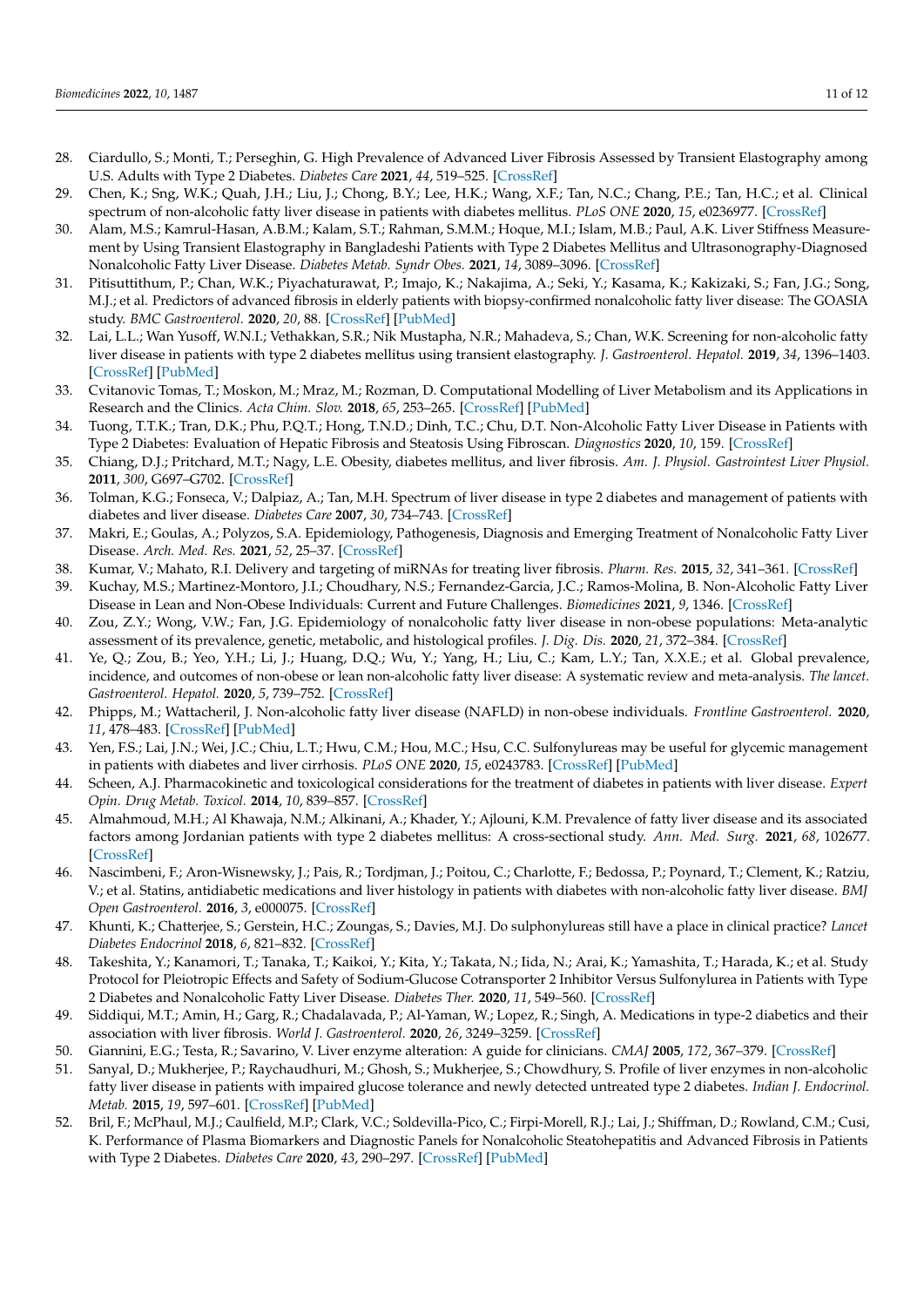- <span id="page-10-0"></span>28. Ciardullo, S.; Monti, T.; Perseghin, G. High Prevalence of Advanced Liver Fibrosis Assessed by Transient Elastography among U.S. Adults with Type 2 Diabetes. *Diabetes Care* **2021**, *44*, 519–525. [\[CrossRef\]](http://doi.org/10.2337/dc20-1778)
- 29. Chen, K.; Sng, W.K.; Quah, J.H.; Liu, J.; Chong, B.Y.; Lee, H.K.; Wang, X.F.; Tan, N.C.; Chang, P.E.; Tan, H.C.; et al. Clinical spectrum of non-alcoholic fatty liver disease in patients with diabetes mellitus. *PLoS ONE* **2020**, *15*, e0236977. [\[CrossRef\]](http://doi.org/10.1371/journal.pone.0236977)
- <span id="page-10-4"></span>30. Alam, M.S.; Kamrul-Hasan, A.B.M.; Kalam, S.T.; Rahman, S.M.M.; Hoque, M.I.; Islam, M.B.; Paul, A.K. Liver Stiffness Measurement by Using Transient Elastography in Bangladeshi Patients with Type 2 Diabetes Mellitus and Ultrasonography-Diagnosed Nonalcoholic Fatty Liver Disease. *Diabetes Metab. Syndr Obes.* **2021**, *14*, 3089–3096. [\[CrossRef\]](http://doi.org/10.2147/DMSO.S317876)
- <span id="page-10-2"></span>31. Pitisuttithum, P.; Chan, W.K.; Piyachaturawat, P.; Imajo, K.; Nakajima, A.; Seki, Y.; Kasama, K.; Kakizaki, S.; Fan, J.G.; Song, M.J.; et al. Predictors of advanced fibrosis in elderly patients with biopsy-confirmed nonalcoholic fatty liver disease: The GOASIA study. *BMC Gastroenterol.* **2020**, *20*, 88. [\[CrossRef\]](http://doi.org/10.1186/s12876-020-01240-z) [\[PubMed\]](http://www.ncbi.nlm.nih.gov/pubmed/32252638)
- <span id="page-10-1"></span>32. Lai, L.L.; Wan Yusoff, W.N.I.; Vethakkan, S.R.; Nik Mustapha, N.R.; Mahadeva, S.; Chan, W.K. Screening for non-alcoholic fatty liver disease in patients with type 2 diabetes mellitus using transient elastography. *J. Gastroenterol. Hepatol.* **2019**, *34*, 1396–1403. [\[CrossRef\]](http://doi.org/10.1111/jgh.14577) [\[PubMed\]](http://www.ncbi.nlm.nih.gov/pubmed/30551263)
- <span id="page-10-3"></span>33. Cvitanovic Tomas, T.; Moskon, M.; Mraz, M.; Rozman, D. Computational Modelling of Liver Metabolism and its Applications in Research and the Clinics. *Acta Chim. Slov.* **2018**, *65*, 253–265. [\[CrossRef\]](http://doi.org/10.17344/acsi.2018.4461) [\[PubMed\]](http://www.ncbi.nlm.nih.gov/pubmed/29993093)
- <span id="page-10-5"></span>34. Tuong, T.T.K.; Tran, D.K.; Phu, P.Q.T.; Hong, T.N.D.; Dinh, T.C.; Chu, D.T. Non-Alcoholic Fatty Liver Disease in Patients with Type 2 Diabetes: Evaluation of Hepatic Fibrosis and Steatosis Using Fibroscan. *Diagnostics* **2020**, *10*, 159. [\[CrossRef\]](http://doi.org/10.3390/diagnostics10030159)
- <span id="page-10-6"></span>35. Chiang, D.J.; Pritchard, M.T.; Nagy, L.E. Obesity, diabetes mellitus, and liver fibrosis. *Am. J. Physiol. Gastrointest Liver Physiol.* **2011**, *300*, G697–G702. [\[CrossRef\]](http://doi.org/10.1152/ajpgi.00426.2010)
- <span id="page-10-7"></span>36. Tolman, K.G.; Fonseca, V.; Dalpiaz, A.; Tan, M.H. Spectrum of liver disease in type 2 diabetes and management of patients with diabetes and liver disease. *Diabetes Care* **2007**, *30*, 734–743. [\[CrossRef\]](http://doi.org/10.2337/dc06-1539)
- <span id="page-10-8"></span>37. Makri, E.; Goulas, A.; Polyzos, S.A. Epidemiology, Pathogenesis, Diagnosis and Emerging Treatment of Nonalcoholic Fatty Liver Disease. *Arch. Med. Res.* **2021**, *52*, 25–37. [\[CrossRef\]](http://doi.org/10.1016/j.arcmed.2020.11.010)
- <span id="page-10-9"></span>38. Kumar, V.; Mahato, R.I. Delivery and targeting of miRNAs for treating liver fibrosis. *Pharm. Res.* **2015**, *32*, 341–361. [\[CrossRef\]](http://doi.org/10.1007/s11095-014-1497-x)
- <span id="page-10-10"></span>39. Kuchay, M.S.; Martinez-Montoro, J.I.; Choudhary, N.S.; Fernandez-Garcia, J.C.; Ramos-Molina, B. Non-Alcoholic Fatty Liver Disease in Lean and Non-Obese Individuals: Current and Future Challenges. *Biomedicines* **2021**, *9*, 1346. [\[CrossRef\]](http://doi.org/10.3390/biomedicines9101346)
- 40. Zou, Z.Y.; Wong, V.W.; Fan, J.G. Epidemiology of nonalcoholic fatty liver disease in non-obese populations: Meta-analytic assessment of its prevalence, genetic, metabolic, and histological profiles. *J. Dig. Dis.* **2020**, *21*, 372–384. [\[CrossRef\]](http://doi.org/10.1111/1751-2980.12871)
- <span id="page-10-11"></span>41. Ye, Q.; Zou, B.; Yeo, Y.H.; Li, J.; Huang, D.Q.; Wu, Y.; Yang, H.; Liu, C.; Kam, L.Y.; Tan, X.X.E.; et al. Global prevalence, incidence, and outcomes of non-obese or lean non-alcoholic fatty liver disease: A systematic review and meta-analysis. *The lancet. Gastroenterol. Hepatol.* **2020**, *5*, 739–752. [\[CrossRef\]](http://doi.org/10.1016/S2468-1253(20)30077-7)
- <span id="page-10-12"></span>42. Phipps, M.; Wattacheril, J. Non-alcoholic fatty liver disease (NAFLD) in non-obese individuals. *Frontline Gastroenterol.* **2020**, *11*, 478–483. [\[CrossRef\]](http://doi.org/10.1136/flgastro-2018-101119) [\[PubMed\]](http://www.ncbi.nlm.nih.gov/pubmed/33101626)
- <span id="page-10-13"></span>43. Yen, F.S.; Lai, J.N.; Wei, J.C.; Chiu, L.T.; Hwu, C.M.; Hou, M.C.; Hsu, C.C. Sulfonylureas may be useful for glycemic management in patients with diabetes and liver cirrhosis. *PLoS ONE* **2020**, *15*, e0243783. [\[CrossRef\]](http://doi.org/10.1371/journal.pone.0243783) [\[PubMed\]](http://www.ncbi.nlm.nih.gov/pubmed/33315940)
- <span id="page-10-18"></span>44. Scheen, A.J. Pharmacokinetic and toxicological considerations for the treatment of diabetes in patients with liver disease. *Expert Opin. Drug Metab. Toxicol.* **2014**, *10*, 839–857. [\[CrossRef\]](http://doi.org/10.1517/17425255.2014.902444)
- 45. Almahmoud, M.H.; Al Khawaja, N.M.; Alkinani, A.; Khader, Y.; Ajlouni, K.M. Prevalence of fatty liver disease and its associated factors among Jordanian patients with type 2 diabetes mellitus: A cross-sectional study. *Ann. Med. Surg.* **2021**, *68*, 102677. [\[CrossRef\]](http://doi.org/10.1016/j.amsu.2021.102677)
- <span id="page-10-14"></span>46. Nascimbeni, F.; Aron-Wisnewsky, J.; Pais, R.; Tordjman, J.; Poitou, C.; Charlotte, F.; Bedossa, P.; Poynard, T.; Clement, K.; Ratziu, V.; et al. Statins, antidiabetic medications and liver histology in patients with diabetes with non-alcoholic fatty liver disease. *BMJ Open Gastroenterol.* **2016**, *3*, e000075. [\[CrossRef\]](http://doi.org/10.1136/bmjgast-2015-000075)
- <span id="page-10-15"></span>47. Khunti, K.; Chatterjee, S.; Gerstein, H.C.; Zoungas, S.; Davies, M.J. Do sulphonylureas still have a place in clinical practice? *Lancet Diabetes Endocrinol* **2018**, *6*, 821–832. [\[CrossRef\]](http://doi.org/10.1016/S2213-8587(18)30025-1)
- <span id="page-10-16"></span>48. Takeshita, Y.; Kanamori, T.; Tanaka, T.; Kaikoi, Y.; Kita, Y.; Takata, N.; Iida, N.; Arai, K.; Yamashita, T.; Harada, K.; et al. Study Protocol for Pleiotropic Effects and Safety of Sodium-Glucose Cotransporter 2 Inhibitor Versus Sulfonylurea in Patients with Type 2 Diabetes and Nonalcoholic Fatty Liver Disease. *Diabetes Ther.* **2020**, *11*, 549–560. [\[CrossRef\]](http://doi.org/10.1007/s13300-020-00762-9)
- <span id="page-10-17"></span>49. Siddiqui, M.T.; Amin, H.; Garg, R.; Chadalavada, P.; Al-Yaman, W.; Lopez, R.; Singh, A. Medications in type-2 diabetics and their association with liver fibrosis. *World J. Gastroenterol.* **2020**, *26*, 3249–3259. [\[CrossRef\]](http://doi.org/10.3748/wjg.v26.i23.3249)
- <span id="page-10-19"></span>50. Giannini, E.G.; Testa, R.; Savarino, V. Liver enzyme alteration: A guide for clinicians. *CMAJ* **2005**, *172*, 367–379. [\[CrossRef\]](http://doi.org/10.1503/cmaj.1040752)
- <span id="page-10-20"></span>51. Sanyal, D.; Mukherjee, P.; Raychaudhuri, M.; Ghosh, S.; Mukherjee, S.; Chowdhury, S. Profile of liver enzymes in non-alcoholic fatty liver disease in patients with impaired glucose tolerance and newly detected untreated type 2 diabetes. *Indian J. Endocrinol. Metab.* **2015**, *19*, 597–601. [\[CrossRef\]](http://doi.org/10.4103/2230-8210.163172) [\[PubMed\]](http://www.ncbi.nlm.nih.gov/pubmed/26425466)
- <span id="page-10-21"></span>52. Bril, F.; McPhaul, M.J.; Caulfield, M.P.; Clark, V.C.; Soldevilla-Pico, C.; Firpi-Morell, R.J.; Lai, J.; Shiffman, D.; Rowland, C.M.; Cusi, K. Performance of Plasma Biomarkers and Diagnostic Panels for Nonalcoholic Steatohepatitis and Advanced Fibrosis in Patients with Type 2 Diabetes. *Diabetes Care* **2020**, *43*, 290–297. [\[CrossRef\]](http://doi.org/10.2337/dc19-1071) [\[PubMed\]](http://www.ncbi.nlm.nih.gov/pubmed/31604692)